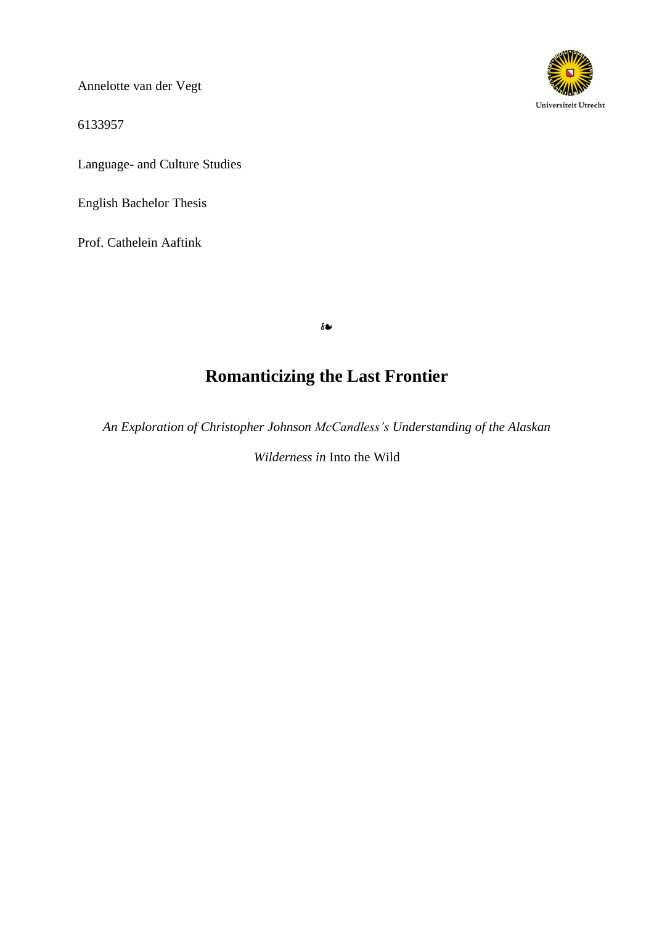Annelotte van der Vegt

6133957

Language- and Culture Studies

English Bachelor Thesis

Prof. Cathelein Aaftink



❧

# **Romanticizing the Last Frontier**

*An Exploration of Christopher Johnson McCandless's Understanding of the Alaskan*

*Wilderness in* Into the Wild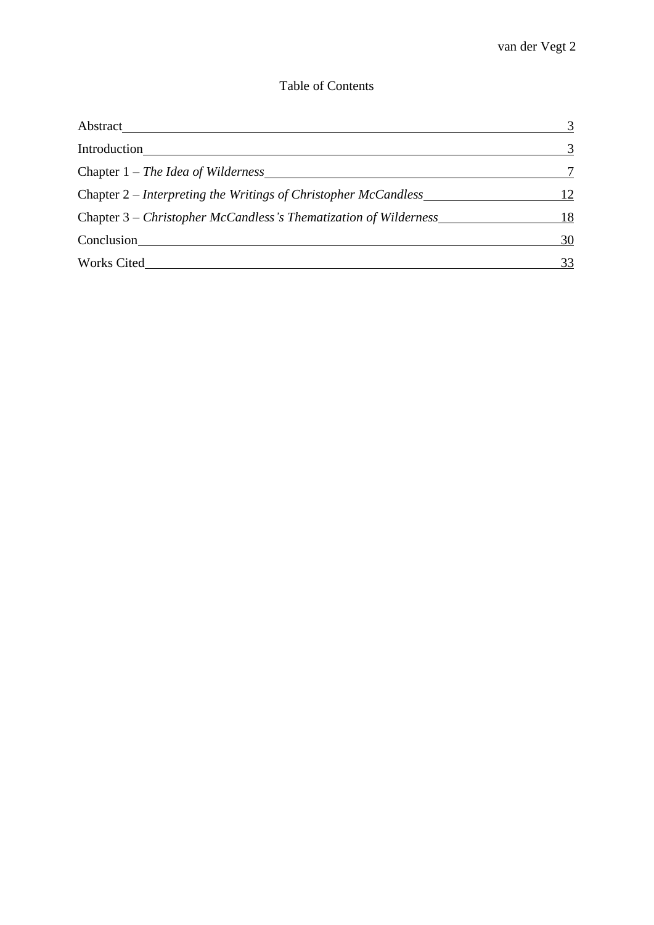## Table of Contents

| <b>Abstract</b>                                                  | 3  |
|------------------------------------------------------------------|----|
| Introduction                                                     | 3  |
| Chapter $1$ – The Idea of Wilderness                             |    |
| Chapter 2 – Interpreting the Writings of Christopher McCandless  | 12 |
| Chapter 3 – Christopher McCandless's Thematization of Wilderness | 18 |
| Conclusion                                                       | 30 |
| <b>Works Cited</b>                                               | 33 |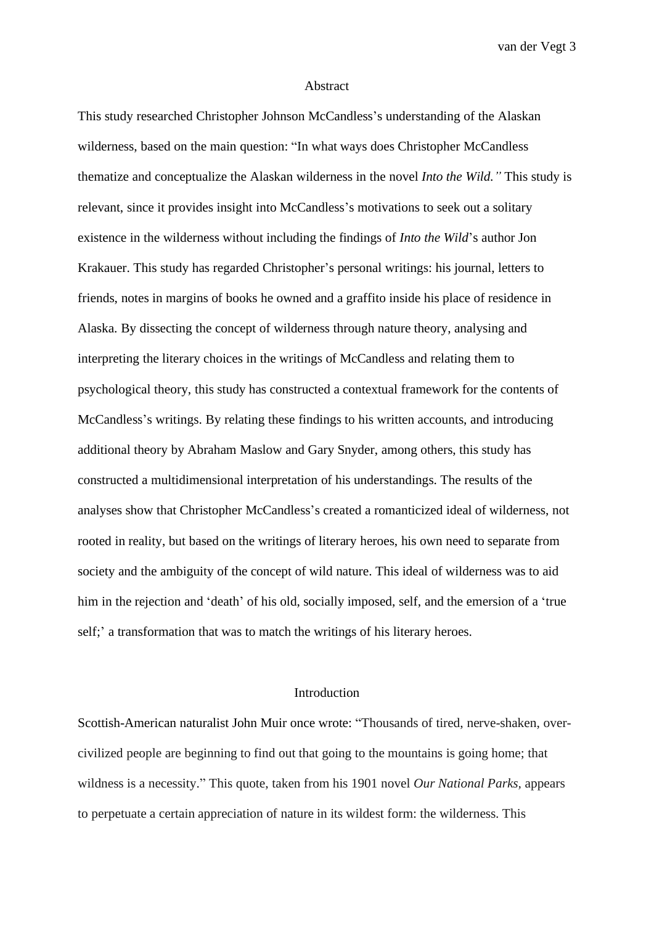#### Abstract

This study researched Christopher Johnson McCandless's understanding of the Alaskan wilderness, based on the main question: "In what ways does Christopher McCandless thematize and conceptualize the Alaskan wilderness in the novel *Into the Wild."* This study is relevant, since it provides insight into McCandless's motivations to seek out a solitary existence in the wilderness without including the findings of *Into the Wild*'s author Jon Krakauer. This study has regarded Christopher's personal writings: his journal, letters to friends, notes in margins of books he owned and a graffito inside his place of residence in Alaska. By dissecting the concept of wilderness through nature theory, analysing and interpreting the literary choices in the writings of McCandless and relating them to psychological theory, this study has constructed a contextual framework for the contents of McCandless's writings. By relating these findings to his written accounts, and introducing additional theory by Abraham Maslow and Gary Snyder, among others, this study has constructed a multidimensional interpretation of his understandings. The results of the analyses show that Christopher McCandless's created a romanticized ideal of wilderness, not rooted in reality, but based on the writings of literary heroes, his own need to separate from society and the ambiguity of the concept of wild nature. This ideal of wilderness was to aid him in the rejection and 'death' of his old, socially imposed, self, and the emersion of a 'true self;' a transformation that was to match the writings of his literary heroes.

### Introduction

Scottish-American naturalist John Muir once wrote: "Thousands of tired, nerve-shaken, overcivilized people are beginning to find out that going to the mountains is going home; that wildness is a necessity." This quote, taken from his 1901 novel *Our National Parks,* appears to perpetuate a certain appreciation of nature in its wildest form: the wilderness. This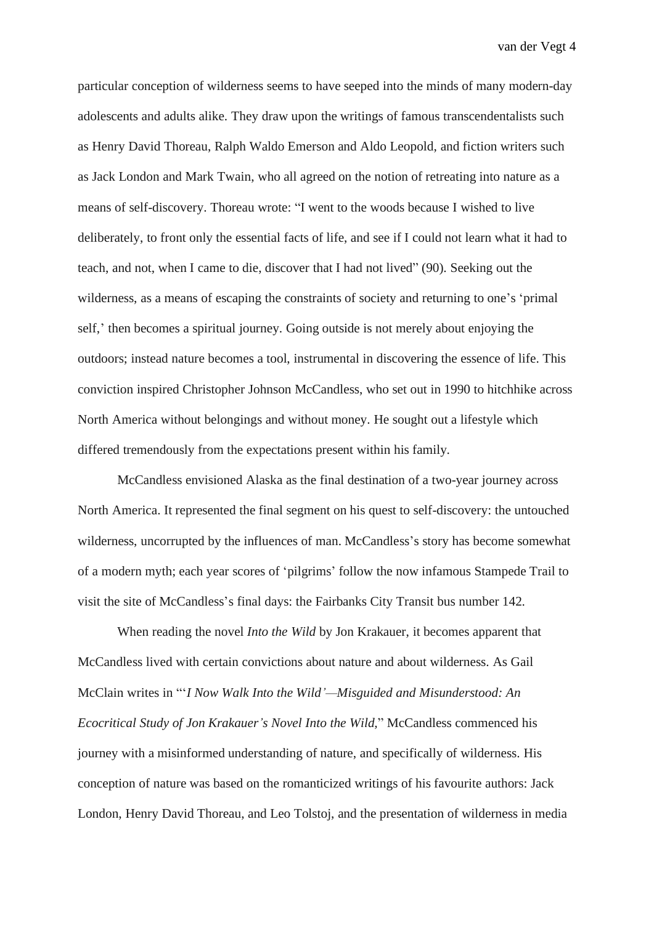particular conception of wilderness seems to have seeped into the minds of many modern-day adolescents and adults alike. They draw upon the writings of famous transcendentalists such as Henry David Thoreau, Ralph Waldo Emerson and Aldo Leopold, and fiction writers such as Jack London and Mark Twain, who all agreed on the notion of retreating into nature as a means of self-discovery. Thoreau wrote: "I went to the woods because I wished to live deliberately, to front only the essential facts of life, and see if I could not learn what it had to teach, and not, when I came to die, discover that I had not lived" (90). Seeking out the wilderness, as a means of escaping the constraints of society and returning to one's 'primal self,' then becomes a spiritual journey. Going outside is not merely about enjoying the outdoors; instead nature becomes a tool, instrumental in discovering the essence of life. This conviction inspired Christopher Johnson McCandless, who set out in 1990 to hitchhike across North America without belongings and without money. He sought out a lifestyle which differed tremendously from the expectations present within his family.

McCandless envisioned Alaska as the final destination of a two-year journey across North America. It represented the final segment on his quest to self-discovery: the untouched wilderness, uncorrupted by the influences of man. McCandless's story has become somewhat of a modern myth; each year scores of 'pilgrims' follow the now infamous Stampede Trail to visit the site of McCandless's final days: the Fairbanks City Transit bus number 142.

When reading the novel *Into the Wild* by Jon Krakauer, it becomes apparent that McCandless lived with certain convictions about nature and about wilderness. As Gail McClain writes in "'*I Now Walk Into the Wild'—Misguided and Misunderstood: An Ecocritical Study of Jon Krakauer's Novel Into the Wild,*" McCandless commenced his journey with a misinformed understanding of nature, and specifically of wilderness. His conception of nature was based on the romanticized writings of his favourite authors: Jack London, Henry David Thoreau, and Leo Tolstoj, and the presentation of wilderness in media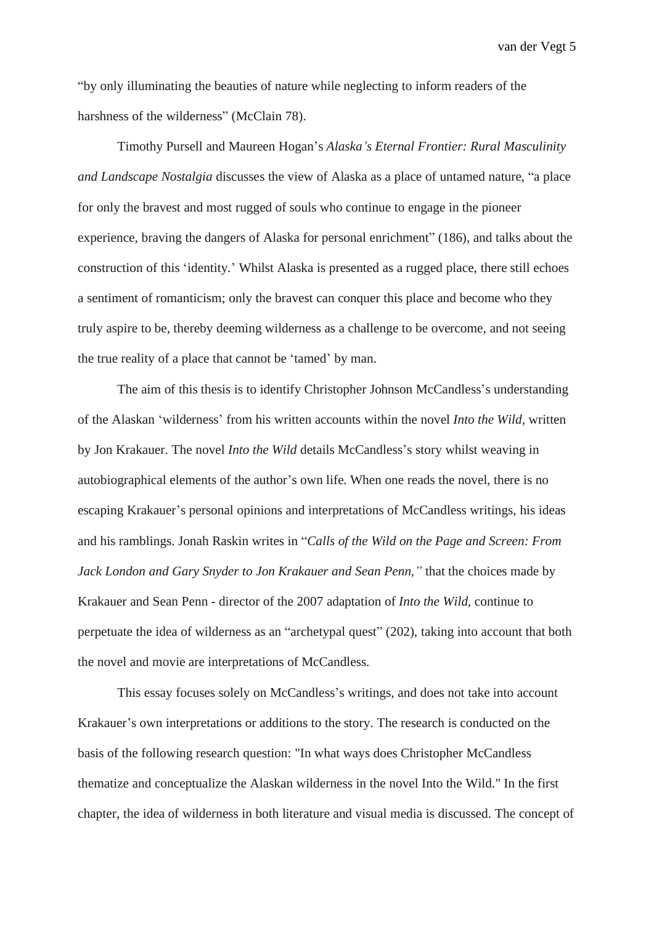"by only illuminating the beauties of nature while neglecting to inform readers of the harshness of the wilderness" (McClain 78).

Timothy Pursell and Maureen Hogan's *Alaska's Eternal Frontier: Rural Masculinity and Landscape Nostalgia* discusses the view of Alaska as a place of untamed nature, "a place for only the bravest and most rugged of souls who continue to engage in the pioneer experience, braving the dangers of Alaska for personal enrichment" (186), and talks about the construction of this 'identity.' Whilst Alaska is presented as a rugged place, there still echoes a sentiment of romanticism; only the bravest can conquer this place and become who they truly aspire to be, thereby deeming wilderness as a challenge to be overcome, and not seeing the true reality of a place that cannot be 'tamed' by man.

The aim of this thesis is to identify Christopher Johnson McCandless's understanding of the Alaskan 'wilderness' from his written accounts within the novel *Into the Wild,* written by Jon Krakauer. The novel *Into the Wild* details McCandless's story whilst weaving in autobiographical elements of the author's own life. When one reads the novel, there is no escaping Krakauer's personal opinions and interpretations of McCandless writings, his ideas and his ramblings. Jonah Raskin writes in "*Calls of the Wild on the Page and Screen: From Jack London and Gary Snyder to Jon Krakauer and Sean Penn,"* that the choices made by Krakauer and Sean Penn - director of the 2007 adaptation of *Into the Wild,* continue to perpetuate the idea of wilderness as an "archetypal quest" (202), taking into account that both the novel and movie are interpretations of McCandless.

This essay focuses solely on McCandless's writings, and does not take into account Krakauer's own interpretations or additions to the story. The research is conducted on the basis of the following research question: "In what ways does Christopher McCandless thematize and conceptualize the Alaskan wilderness in the novel Into the Wild." In the first chapter, the idea of wilderness in both literature and visual media is discussed. The concept of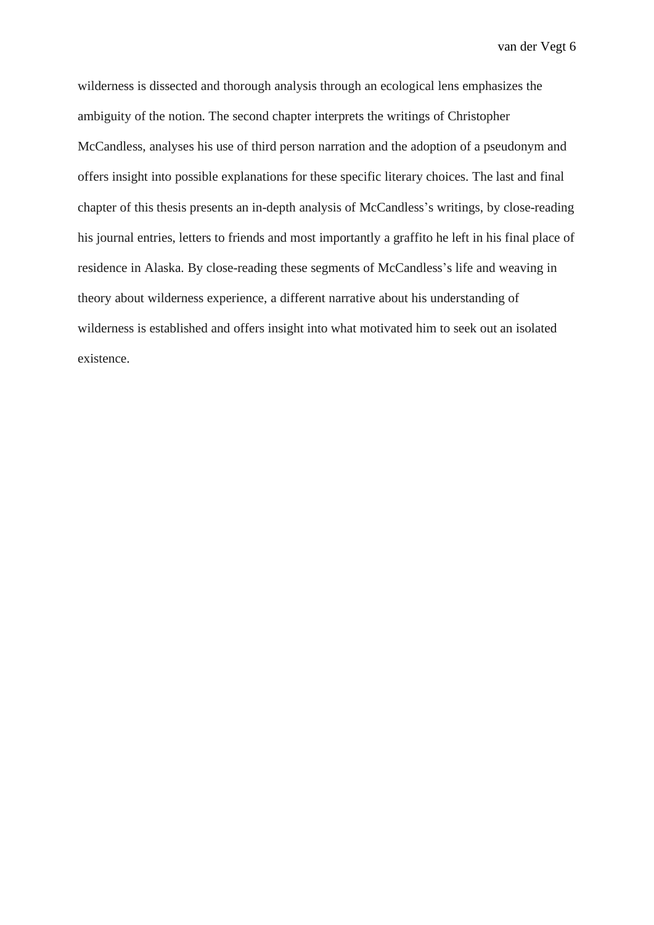wilderness is dissected and thorough analysis through an ecological lens emphasizes the ambiguity of the notion. The second chapter interprets the writings of Christopher McCandless, analyses his use of third person narration and the adoption of a pseudonym and offers insight into possible explanations for these specific literary choices. The last and final chapter of this thesis presents an in-depth analysis of McCandless's writings, by close-reading his journal entries, letters to friends and most importantly a graffito he left in his final place of residence in Alaska. By close-reading these segments of McCandless's life and weaving in theory about wilderness experience, a different narrative about his understanding of wilderness is established and offers insight into what motivated him to seek out an isolated existence.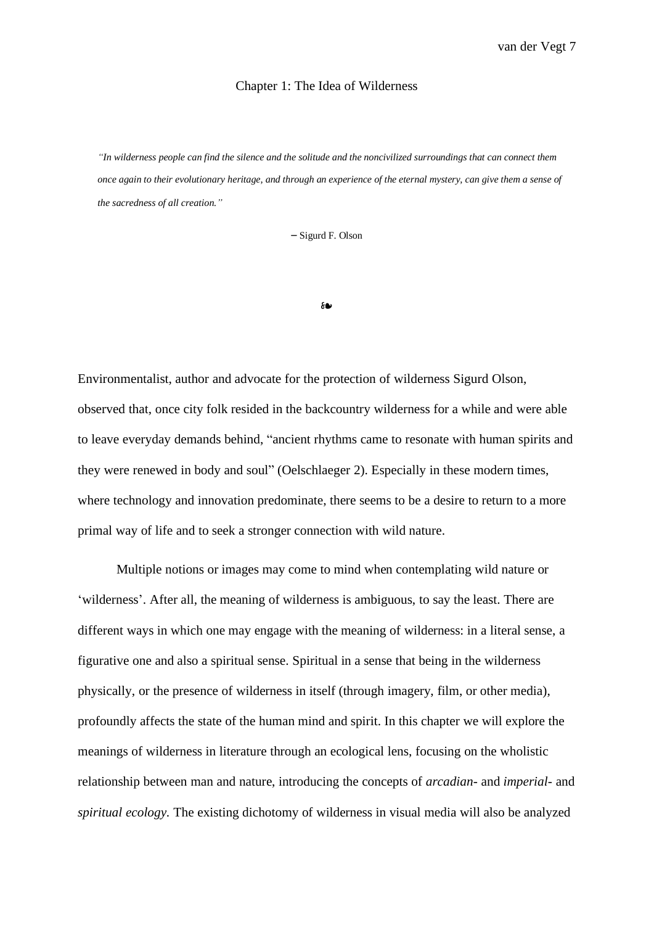#### Chapter 1: The Idea of Wilderness

"In wilderness people can find the silence and the solitude and the noncivilized surroundings that can connect them once again to their evolutionary heritage, and through an experience of the eternal mystery, can give them a sense of *the sacredness of all creation."*

– Sigurd F. Olson

❧

Environmentalist, author and advocate for the protection of wilderness Sigurd Olson, observed that, once city folk resided in the backcountry wilderness for a while and were able to leave everyday demands behind, "ancient rhythms came to resonate with human spirits and they were renewed in body and soul" (Oelschlaeger 2). Especially in these modern times, where technology and innovation predominate, there seems to be a desire to return to a more primal way of life and to seek a stronger connection with wild nature.

Multiple notions or images may come to mind when contemplating wild nature or 'wilderness'. After all, the meaning of wilderness is ambiguous, to say the least. There are different ways in which one may engage with the meaning of wilderness: in a literal sense, a figurative one and also a spiritual sense. Spiritual in a sense that being in the wilderness physically, or the presence of wilderness in itself (through imagery, film, or other media), profoundly affects the state of the human mind and spirit. In this chapter we will explore the meanings of wilderness in literature through an ecological lens, focusing on the wholistic relationship between man and nature, introducing the concepts of *arcadian-* and *imperial-* and *spiritual ecology.* The existing dichotomy of wilderness in visual media will also be analyzed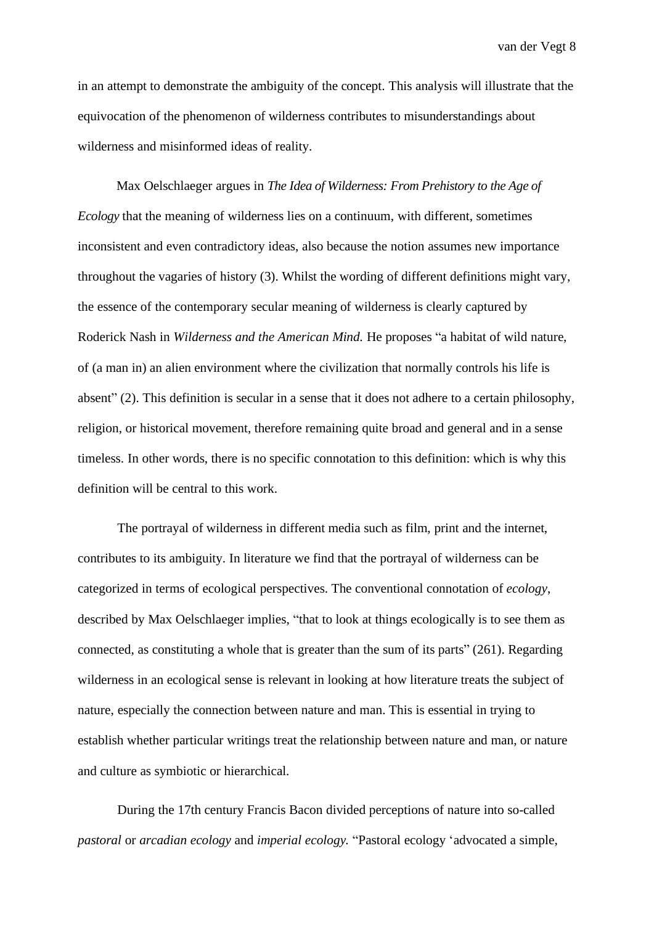in an attempt to demonstrate the ambiguity of the concept. This analysis will illustrate that the equivocation of the phenomenon of wilderness contributes to misunderstandings about wilderness and misinformed ideas of reality.

Max Oelschlaeger argues in *The Idea of Wilderness: From Prehistory to the Age of Ecology* that the meaning of wilderness lies on a continuum, with different, sometimes inconsistent and even contradictory ideas, also because the notion assumes new importance throughout the vagaries of history (3). Whilst the wording of different definitions might vary, the essence of the contemporary secular meaning of wilderness is clearly captured by Roderick Nash in *Wilderness and the American Mind.* He proposes "a habitat of wild nature, of (a man in) an alien environment where the civilization that normally controls his life is absent" (2). This definition is secular in a sense that it does not adhere to a certain philosophy, religion, or historical movement, therefore remaining quite broad and general and in a sense timeless. In other words, there is no specific connotation to this definition: which is why this definition will be central to this work.

The portrayal of wilderness in different media such as film, print and the internet, contributes to its ambiguity. In literature we find that the portrayal of wilderness can be categorized in terms of ecological perspectives. The conventional connotation of *ecology*, described by Max Oelschlaeger implies, "that to look at things ecologically is to see them as connected, as constituting a whole that is greater than the sum of its parts" (261). Regarding wilderness in an ecological sense is relevant in looking at how literature treats the subject of nature, especially the connection between nature and man. This is essential in trying to establish whether particular writings treat the relationship between nature and man, or nature and culture as symbiotic or hierarchical.

During the 17th century Francis Bacon divided perceptions of nature into so-called *pastoral* or *arcadian ecology* and *imperial ecology.* "Pastoral ecology 'advocated a simple,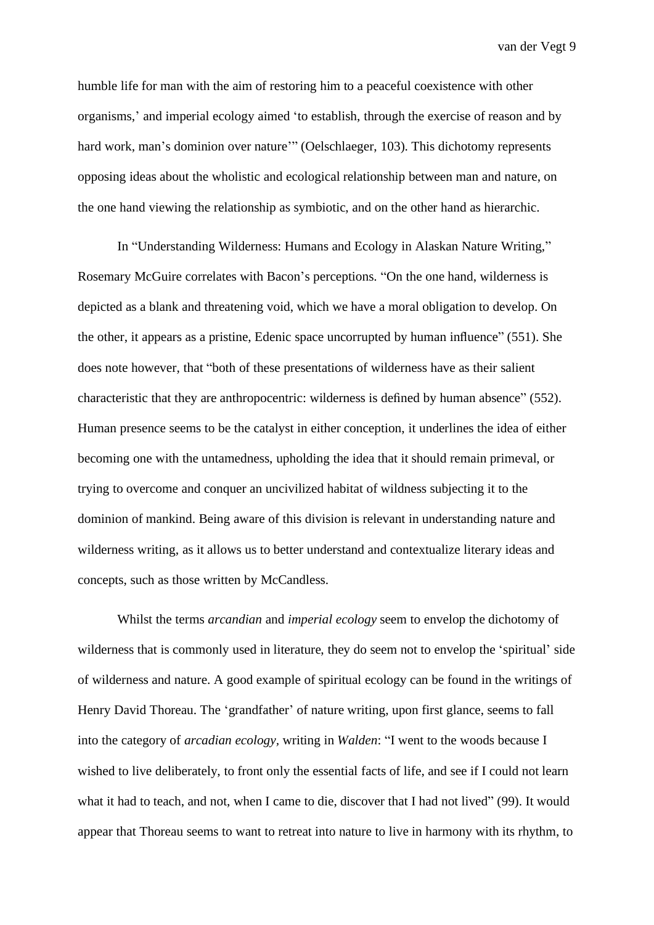humble life for man with the aim of restoring him to a peaceful coexistence with other organisms,' and imperial ecology aimed 'to establish, through the exercise of reason and by hard work, man's dominion over nature"" (Oelschlaeger, 103). This dichotomy represents opposing ideas about the wholistic and ecological relationship between man and nature, on the one hand viewing the relationship as symbiotic, and on the other hand as hierarchic.

In "Understanding Wilderness: Humans and Ecology in Alaskan Nature Writing," Rosemary McGuire correlates with Bacon's perceptions. "On the one hand, wilderness is depicted as a blank and threatening void, which we have a moral obligation to develop. On the other, it appears as a pristine, Edenic space uncorrupted by human influence" (551). She does note however, that "both of these presentations of wilderness have as their salient characteristic that they are anthropocentric: wilderness is defined by human absence" (552). Human presence seems to be the catalyst in either conception, it underlines the idea of either becoming one with the untamedness, upholding the idea that it should remain primeval, or trying to overcome and conquer an uncivilized habitat of wildness subjecting it to the dominion of mankind. Being aware of this division is relevant in understanding nature and wilderness writing, as it allows us to better understand and contextualize literary ideas and concepts, such as those written by McCandless.

Whilst the terms *arcandian* and *imperial ecology* seem to envelop the dichotomy of wilderness that is commonly used in literature, they do seem not to envelop the 'spiritual' side of wilderness and nature. A good example of spiritual ecology can be found in the writings of Henry David Thoreau. The 'grandfather' of nature writing, upon first glance, seems to fall into the category of *arcadian ecology,* writing in *Walden*: "I went to the woods because I wished to live deliberately, to front only the essential facts of life, and see if I could not learn what it had to teach, and not, when I came to die, discover that I had not lived" (99). It would appear that Thoreau seems to want to retreat into nature to live in harmony with its rhythm, to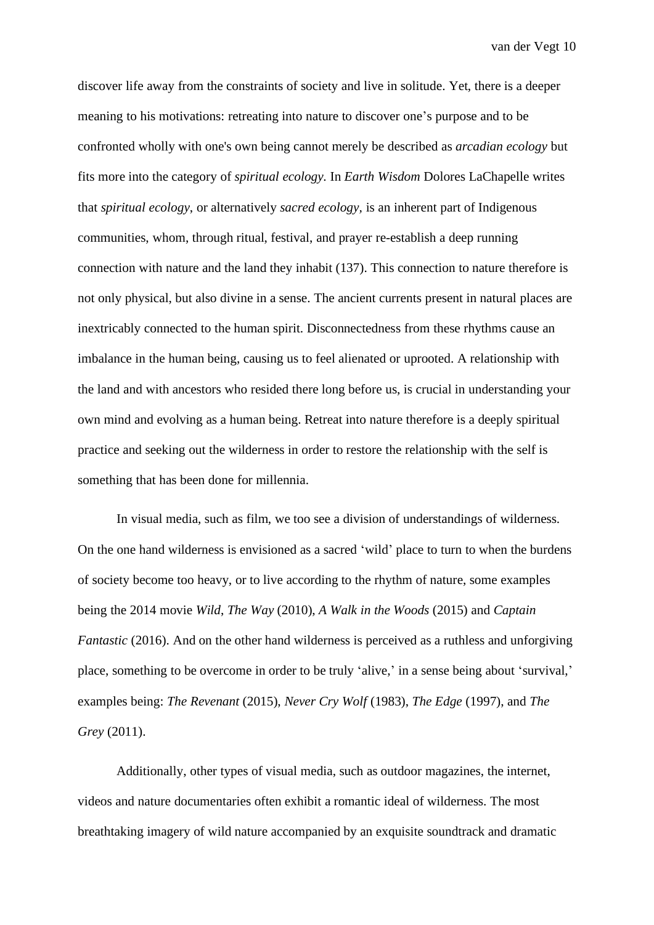discover life away from the constraints of society and live in solitude. Yet, there is a deeper meaning to his motivations: retreating into nature to discover one's purpose and to be confronted wholly with one's own being cannot merely be described as *arcadian ecology* but fits more into the category of *spiritual ecology.* In *Earth Wisdom* Dolores LaChapelle writes that *spiritual ecology*, or alternatively *sacred ecology,* is an inherent part of Indigenous communities, whom, through ritual, festival, and prayer re-establish a deep running connection with nature and the land they inhabit (137). This connection to nature therefore is not only physical, but also divine in a sense. The ancient currents present in natural places are inextricably connected to the human spirit. Disconnectedness from these rhythms cause an imbalance in the human being, causing us to feel alienated or uprooted. A relationship with the land and with ancestors who resided there long before us, is crucial in understanding your own mind and evolving as a human being. Retreat into nature therefore is a deeply spiritual practice and seeking out the wilderness in order to restore the relationship with the self is something that has been done for millennia.

In visual media, such as film, we too see a division of understandings of wilderness. On the one hand wilderness is envisioned as a sacred 'wild' place to turn to when the burdens of society become too heavy, or to live according to the rhythm of nature, some examples being the 2014 movie *Wild*, *The Way* (2010), *A Walk in the Woods* (2015) and *Captain Fantastic* (2016). And on the other hand wilderness is perceived as a ruthless and unforgiving place, something to be overcome in order to be truly 'alive,' in a sense being about 'survival,' examples being: *The Revenant* (2015), *Never Cry Wolf* (1983), *The Edge* (1997), and *The Grey* (2011).

Additionally, other types of visual media, such as outdoor magazines, the internet, videos and nature documentaries often exhibit a romantic ideal of wilderness. The most breathtaking imagery of wild nature accompanied by an exquisite soundtrack and dramatic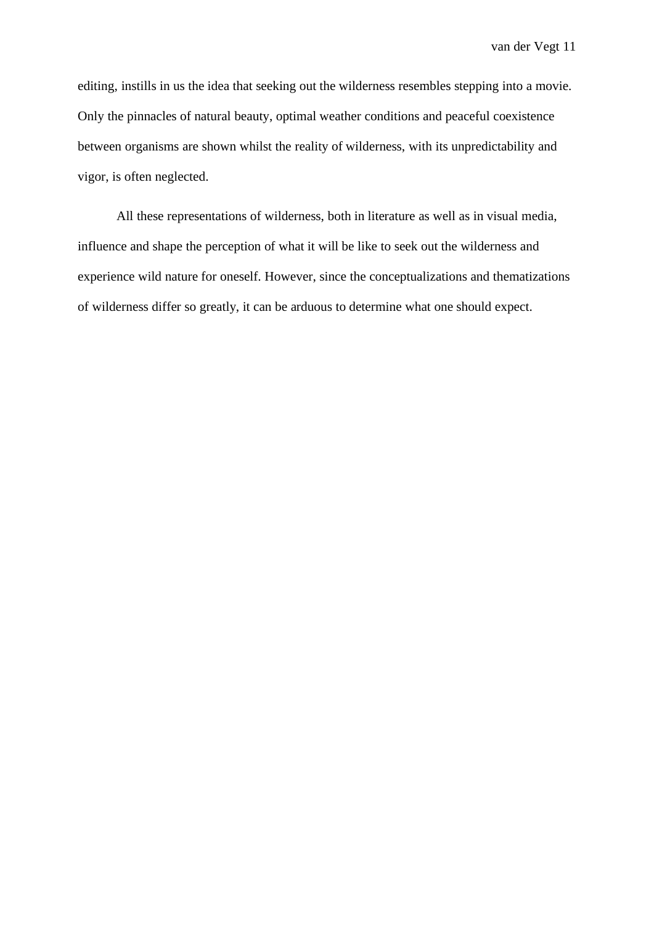editing, instills in us the idea that seeking out the wilderness resembles stepping into a movie. Only the pinnacles of natural beauty, optimal weather conditions and peaceful coexistence between organisms are shown whilst the reality of wilderness, with its unpredictability and vigor, is often neglected.

All these representations of wilderness, both in literature as well as in visual media, influence and shape the perception of what it will be like to seek out the wilderness and experience wild nature for oneself. However, since the conceptualizations and thematizations of wilderness differ so greatly, it can be arduous to determine what one should expect.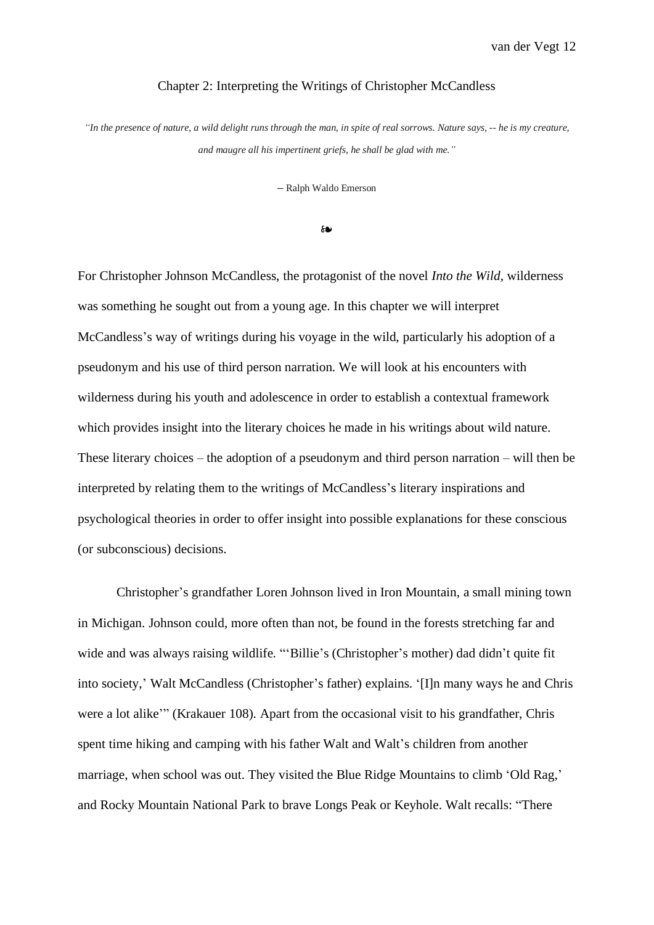#### Chapter 2: Interpreting the Writings of Christopher McCandless

"In the presence of nature, a wild delight runs through the man, in spite of real sorrows. Nature says, -- he is my creature, *and maugre all his impertinent griefs, he shall be glad with me."*

**–** Ralph Waldo Emerson

❧

For Christopher Johnson McCandless, the protagonist of the novel *Into the Wild*, wilderness was something he sought out from a young age. In this chapter we will interpret McCandless's way of writings during his voyage in the wild, particularly his adoption of a pseudonym and his use of third person narration. We will look at his encounters with wilderness during his youth and adolescence in order to establish a contextual framework which provides insight into the literary choices he made in his writings about wild nature. These literary choices – the adoption of a pseudonym and third person narration – will then be interpreted by relating them to the writings of McCandless's literary inspirations and psychological theories in order to offer insight into possible explanations for these conscious (or subconscious) decisions.

Christopher's grandfather Loren Johnson lived in Iron Mountain, a small mining town in Michigan. Johnson could, more often than not, be found in the forests stretching far and wide and was always raising wildlife. "'Billie's (Christopher's mother) dad didn't quite fit into society,' Walt McCandless (Christopher's father) explains. '[I]n many ways he and Chris were a lot alike'" (Krakauer 108). Apart from the occasional visit to his grandfather, Chris spent time hiking and camping with his father Walt and Walt's children from another marriage, when school was out. They visited the Blue Ridge Mountains to climb 'Old Rag,' and Rocky Mountain National Park to brave Longs Peak or Keyhole. Walt recalls: "There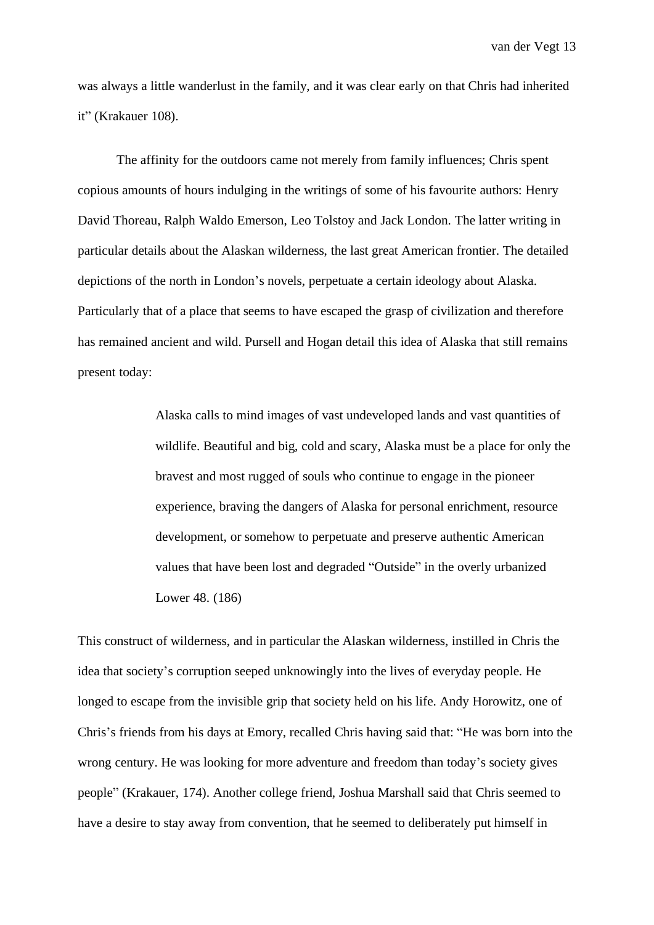was always a little wanderlust in the family, and it was clear early on that Chris had inherited it" (Krakauer 108).

The affinity for the outdoors came not merely from family influences; Chris spent copious amounts of hours indulging in the writings of some of his favourite authors: Henry David Thoreau, Ralph Waldo Emerson, Leo Tolstoy and Jack London. The latter writing in particular details about the Alaskan wilderness, the last great American frontier. The detailed depictions of the north in London's novels, perpetuate a certain ideology about Alaska. Particularly that of a place that seems to have escaped the grasp of civilization and therefore has remained ancient and wild. Pursell and Hogan detail this idea of Alaska that still remains present today:

> Alaska calls to mind images of vast undeveloped lands and vast quantities of wildlife. Beautiful and big, cold and scary, Alaska must be a place for only the bravest and most rugged of souls who continue to engage in the pioneer experience, braving the dangers of Alaska for personal enrichment, resource development, or somehow to perpetuate and preserve authentic American values that have been lost and degraded "Outside" in the overly urbanized Lower 48. (186)

This construct of wilderness, and in particular the Alaskan wilderness, instilled in Chris the idea that society's corruption seeped unknowingly into the lives of everyday people. He longed to escape from the invisible grip that society held on his life. Andy Horowitz, one of Chris's friends from his days at Emory, recalled Chris having said that: "He was born into the wrong century. He was looking for more adventure and freedom than today's society gives people" (Krakauer, 174). Another college friend, Joshua Marshall said that Chris seemed to have a desire to stay away from convention, that he seemed to deliberately put himself in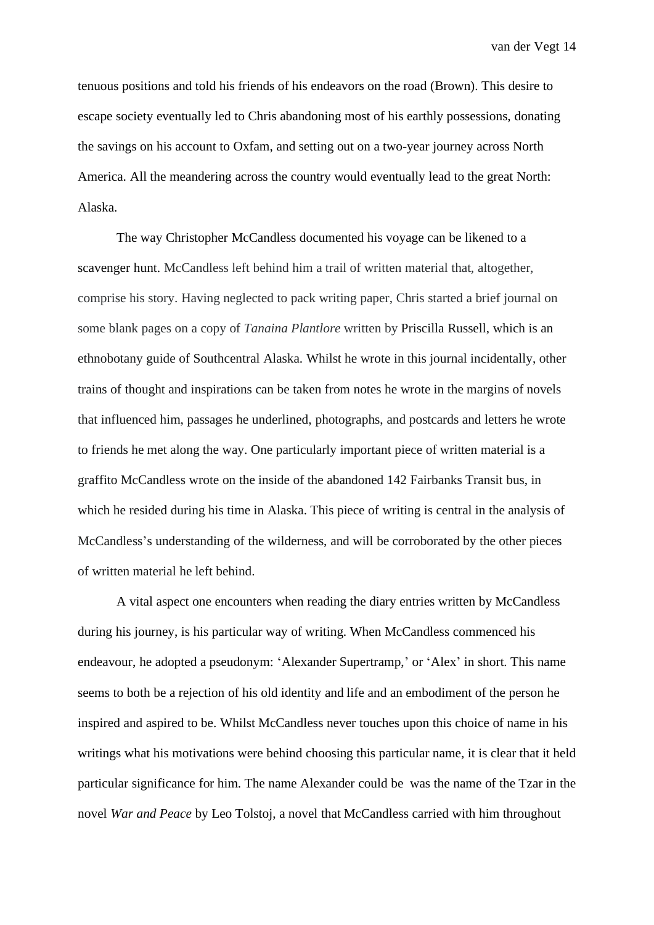tenuous positions and told his friends of his endeavors on the road (Brown). This desire to escape society eventually led to Chris abandoning most of his earthly possessions, donating the savings on his account to Oxfam, and setting out on a two-year journey across North America. All the meandering across the country would eventually lead to the great North: Alaska.

The way Christopher McCandless documented his voyage can be likened to a scavenger hunt. McCandless left behind him a trail of written material that, altogether, comprise his story. Having neglected to pack writing paper, Chris started a brief journal on some blank pages on a copy of *Tanaina Plantlore* written by Priscilla Russell, which is an ethnobotany guide of Southcentral Alaska. Whilst he wrote in this journal incidentally, other trains of thought and inspirations can be taken from notes he wrote in the margins of novels that influenced him, passages he underlined, photographs, and postcards and letters he wrote to friends he met along the way. One particularly important piece of written material is a graffito McCandless wrote on the inside of the abandoned 142 Fairbanks Transit bus, in which he resided during his time in Alaska. This piece of writing is central in the analysis of McCandless's understanding of the wilderness, and will be corroborated by the other pieces of written material he left behind.

A vital aspect one encounters when reading the diary entries written by McCandless during his journey, is his particular way of writing. When McCandless commenced his endeavour, he adopted a pseudonym: 'Alexander Supertramp,' or 'Alex' in short. This name seems to both be a rejection of his old identity and life and an embodiment of the person he inspired and aspired to be. Whilst McCandless never touches upon this choice of name in his writings what his motivations were behind choosing this particular name, it is clear that it held particular significance for him. The name Alexander could be was the name of the Tzar in the novel *War and Peace* by Leo Tolstoj, a novel that McCandless carried with him throughout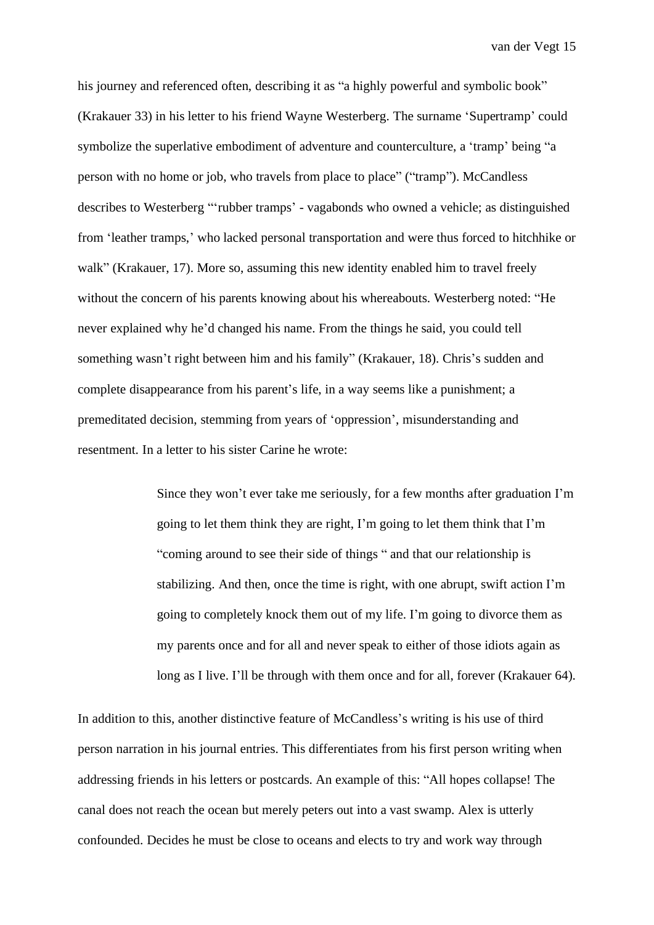his journey and referenced often, describing it as "a highly powerful and symbolic book" (Krakauer 33) in his letter to his friend Wayne Westerberg. The surname 'Supertramp' could symbolize the superlative embodiment of adventure and counterculture, a 'tramp' being "a person with no home or job, who travels from place to place" ("tramp"). McCandless describes to Westerberg "'rubber tramps' - vagabonds who owned a vehicle; as distinguished from 'leather tramps,' who lacked personal transportation and were thus forced to hitchhike or walk" (Krakauer, 17). More so, assuming this new identity enabled him to travel freely without the concern of his parents knowing about his whereabouts. Westerberg noted: "He never explained why he'd changed his name. From the things he said, you could tell something wasn't right between him and his family" (Krakauer, 18). Chris's sudden and complete disappearance from his parent's life, in a way seems like a punishment; a premeditated decision, stemming from years of 'oppression', misunderstanding and resentment. In a letter to his sister Carine he wrote:

> Since they won't ever take me seriously, for a few months after graduation I'm going to let them think they are right, I'm going to let them think that I'm "coming around to see their side of things " and that our relationship is stabilizing. And then, once the time is right, with one abrupt, swift action I'm going to completely knock them out of my life. I'm going to divorce them as my parents once and for all and never speak to either of those idiots again as long as I live. I'll be through with them once and for all, forever (Krakauer 64).

In addition to this, another distinctive feature of McCandless's writing is his use of third person narration in his journal entries. This differentiates from his first person writing when addressing friends in his letters or postcards. An example of this: "All hopes collapse! The canal does not reach the ocean but merely peters out into a vast swamp. Alex is utterly confounded. Decides he must be close to oceans and elects to try and work way through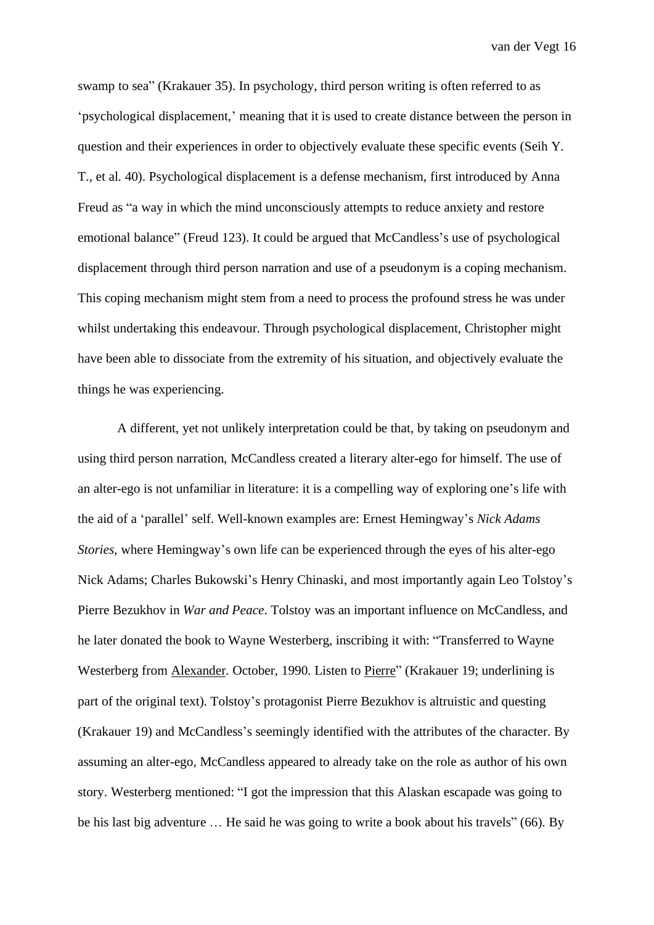swamp to sea" (Krakauer 35). In psychology, third person writing is often referred to as 'psychological displacement,' meaning that it is used to create distance between the person in question and their experiences in order to objectively evaluate these specific events (Seih Y. T., et al. 40). Psychological displacement is a defense mechanism, first introduced by Anna Freud as "a way in which the mind unconsciously attempts to reduce anxiety and restore emotional balance" (Freud 123). It could be argued that McCandless's use of psychological displacement through third person narration and use of a pseudonym is a coping mechanism. This coping mechanism might stem from a need to process the profound stress he was under whilst undertaking this endeavour. Through psychological displacement, Christopher might have been able to dissociate from the extremity of his situation, and objectively evaluate the things he was experiencing.

A different, yet not unlikely interpretation could be that, by taking on pseudonym and using third person narration, McCandless created a literary alter-ego for himself. The use of an alter-ego is not unfamiliar in literature: it is a compelling way of exploring one's life with the aid of a 'parallel' self. Well-known examples are: Ernest Hemingway's *Nick Adams Stories,* where Hemingway's own life can be experienced through the eyes of his alter-ego Nick Adams; Charles Bukowski's Henry Chinaski*,* and most importantly again Leo Tolstoy's Pierre Bezukhov in *War and Peace*. Tolstoy was an important influence on McCandless, and he later donated the book to Wayne Westerberg, inscribing it with: "Transferred to Wayne Westerberg from Alexander. October, 1990. Listen to Pierre" (Krakauer 19; underlining is part of the original text). Tolstoy's protagonist Pierre Bezukhov is altruistic and questing (Krakauer 19) and McCandless's seemingly identified with the attributes of the character. By assuming an alter-ego, McCandless appeared to already take on the role as author of his own story. Westerberg mentioned: "I got the impression that this Alaskan escapade was going to be his last big adventure … He said he was going to write a book about his travels" (66). By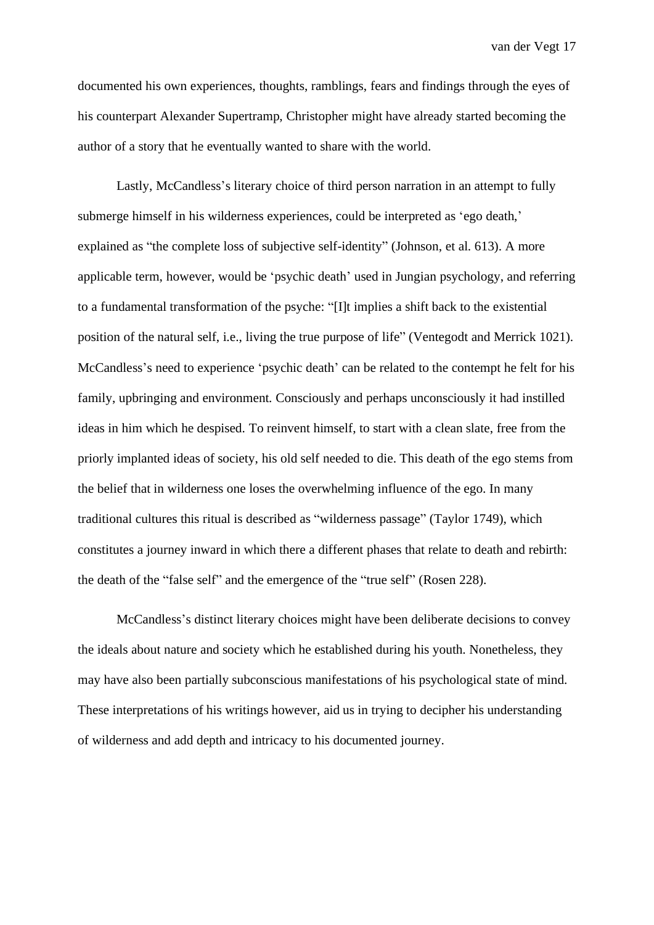documented his own experiences, thoughts, ramblings, fears and findings through the eyes of his counterpart Alexander Supertramp, Christopher might have already started becoming the author of a story that he eventually wanted to share with the world.

Lastly, McCandless's literary choice of third person narration in an attempt to fully submerge himself in his wilderness experiences, could be interpreted as 'ego death,' explained as "the complete loss of subjective self-identity" (Johnson, et al. 613). A more applicable term, however, would be 'psychic death' used in Jungian psychology, and referring to a fundamental transformation of the psyche: "[I]t implies a shift back to the existential position of the natural self, i.e., living the true purpose of life" (Ventegodt and Merrick 1021). McCandless's need to experience 'psychic death' can be related to the contempt he felt for his family, upbringing and environment. Consciously and perhaps unconsciously it had instilled ideas in him which he despised. To reinvent himself, to start with a clean slate, free from the priorly implanted ideas of society, his old self needed to die. This death of the ego stems from the belief that in wilderness one loses the overwhelming influence of the ego. In many traditional cultures this ritual is described as "wilderness passage" (Taylor 1749), which constitutes a journey inward in which there a different phases that relate to death and rebirth: the death of the "false self" and the emergence of the "true self" (Rosen 228).

McCandless's distinct literary choices might have been deliberate decisions to convey the ideals about nature and society which he established during his youth. Nonetheless, they may have also been partially subconscious manifestations of his psychological state of mind. These interpretations of his writings however, aid us in trying to decipher his understanding of wilderness and add depth and intricacy to his documented journey.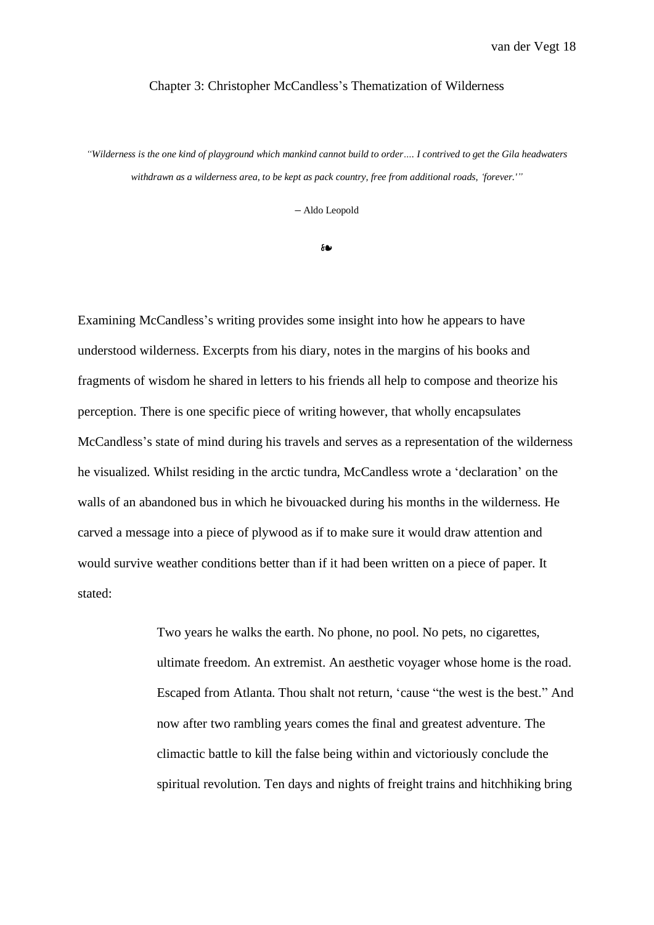#### Chapter 3: Christopher McCandless's Thematization of Wilderness

"Wilderness is the one kind of playground which mankind cannot build to order.... I contrived to get the Gila headwaters *withdrawn as a wilderness area, to be kept as pack country, free from additional roads, 'forever.'"*

**–** Aldo Leopold

❧

Examining McCandless's writing provides some insight into how he appears to have understood wilderness. Excerpts from his diary, notes in the margins of his books and fragments of wisdom he shared in letters to his friends all help to compose and theorize his perception. There is one specific piece of writing however, that wholly encapsulates McCandless's state of mind during his travels and serves as a representation of the wilderness he visualized. Whilst residing in the arctic tundra, McCandless wrote a 'declaration' on the walls of an abandoned bus in which he bivouacked during his months in the wilderness. He carved a message into a piece of plywood as if to make sure it would draw attention and would survive weather conditions better than if it had been written on a piece of paper. It stated:

> Two years he walks the earth. No phone, no pool. No pets, no cigarettes, ultimate freedom. An extremist. An aesthetic voyager whose home is the road. Escaped from Atlanta. Thou shalt not return, 'cause "the west is the best." And now after two rambling years comes the final and greatest adventure. The climactic battle to kill the false being within and victoriously conclude the spiritual revolution. Ten days and nights of freight trains and hitchhiking bring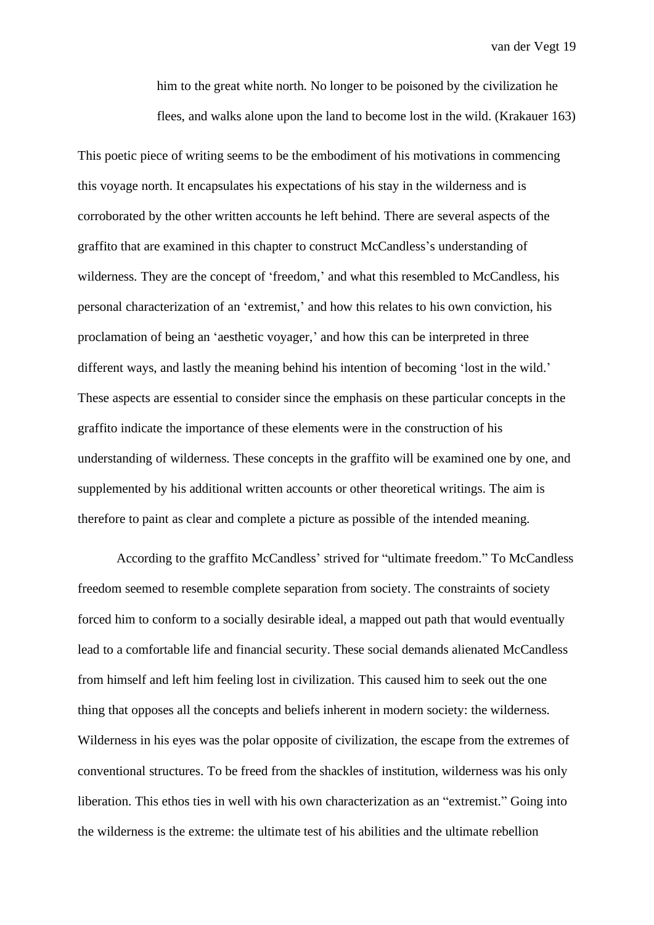him to the great white north. No longer to be poisoned by the civilization he flees, and walks alone upon the land to become lost in the wild. (Krakauer 163)

This poetic piece of writing seems to be the embodiment of his motivations in commencing this voyage north. It encapsulates his expectations of his stay in the wilderness and is corroborated by the other written accounts he left behind. There are several aspects of the graffito that are examined in this chapter to construct McCandless's understanding of wilderness. They are the concept of 'freedom,' and what this resembled to McCandless, his personal characterization of an 'extremist,' and how this relates to his own conviction, his proclamation of being an 'aesthetic voyager,' and how this can be interpreted in three different ways, and lastly the meaning behind his intention of becoming 'lost in the wild.' These aspects are essential to consider since the emphasis on these particular concepts in the graffito indicate the importance of these elements were in the construction of his understanding of wilderness. These concepts in the graffito will be examined one by one, and supplemented by his additional written accounts or other theoretical writings. The aim is therefore to paint as clear and complete a picture as possible of the intended meaning.

According to the graffito McCandless' strived for "ultimate freedom." To McCandless freedom seemed to resemble complete separation from society. The constraints of society forced him to conform to a socially desirable ideal, a mapped out path that would eventually lead to a comfortable life and financial security. These social demands alienated McCandless from himself and left him feeling lost in civilization. This caused him to seek out the one thing that opposes all the concepts and beliefs inherent in modern society: the wilderness. Wilderness in his eyes was the polar opposite of civilization, the escape from the extremes of conventional structures. To be freed from the shackles of institution, wilderness was his only liberation. This ethos ties in well with his own characterization as an "extremist." Going into the wilderness is the extreme: the ultimate test of his abilities and the ultimate rebellion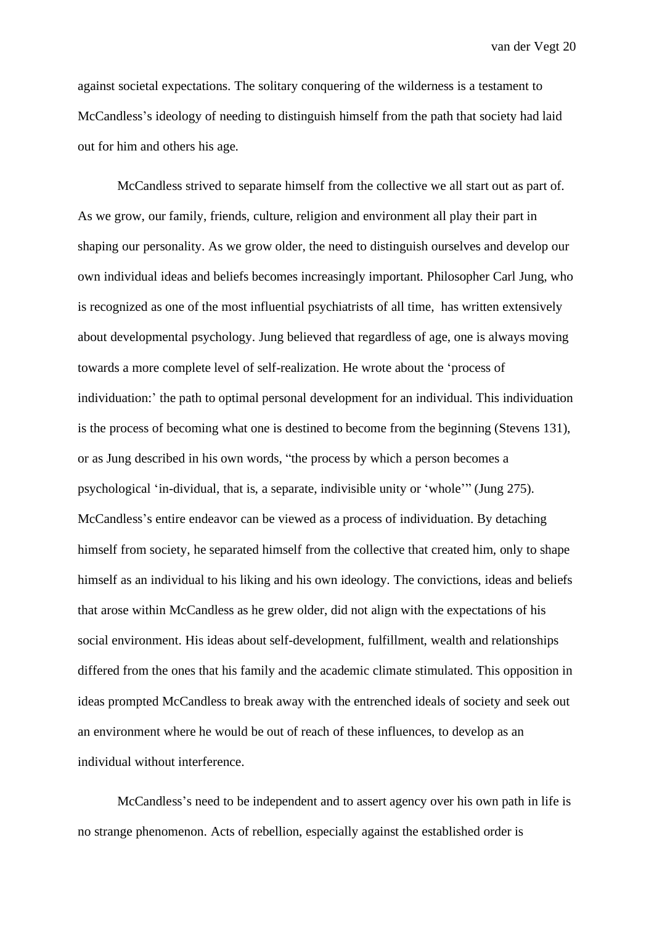against societal expectations. The solitary conquering of the wilderness is a testament to McCandless's ideology of needing to distinguish himself from the path that society had laid out for him and others his age.

McCandless strived to separate himself from the collective we all start out as part of. As we grow, our family, friends, culture, religion and environment all play their part in shaping our personality. As we grow older, the need to distinguish ourselves and develop our own individual ideas and beliefs becomes increasingly important. Philosopher Carl Jung, who is recognized as one of the most influential psychiatrists of all time, has written extensively about developmental psychology. Jung believed that regardless of age, one is always moving towards a more complete level of self-realization. He wrote about the 'process of individuation:' the path to optimal personal development for an individual. This individuation is the process of becoming what one is destined to become from the beginning (Stevens 131), or as Jung described in his own words, "the process by which a person becomes a psychological 'in-dividual, that is, a separate, indivisible unity or 'whole'" (Jung 275). McCandless's entire endeavor can be viewed as a process of individuation. By detaching himself from society, he separated himself from the collective that created him, only to shape himself as an individual to his liking and his own ideology. The convictions, ideas and beliefs that arose within McCandless as he grew older, did not align with the expectations of his social environment. His ideas about self-development, fulfillment, wealth and relationships differed from the ones that his family and the academic climate stimulated. This opposition in ideas prompted McCandless to break away with the entrenched ideals of society and seek out an environment where he would be out of reach of these influences, to develop as an individual without interference.

McCandless's need to be independent and to assert agency over his own path in life is no strange phenomenon. Acts of rebellion, especially against the established order is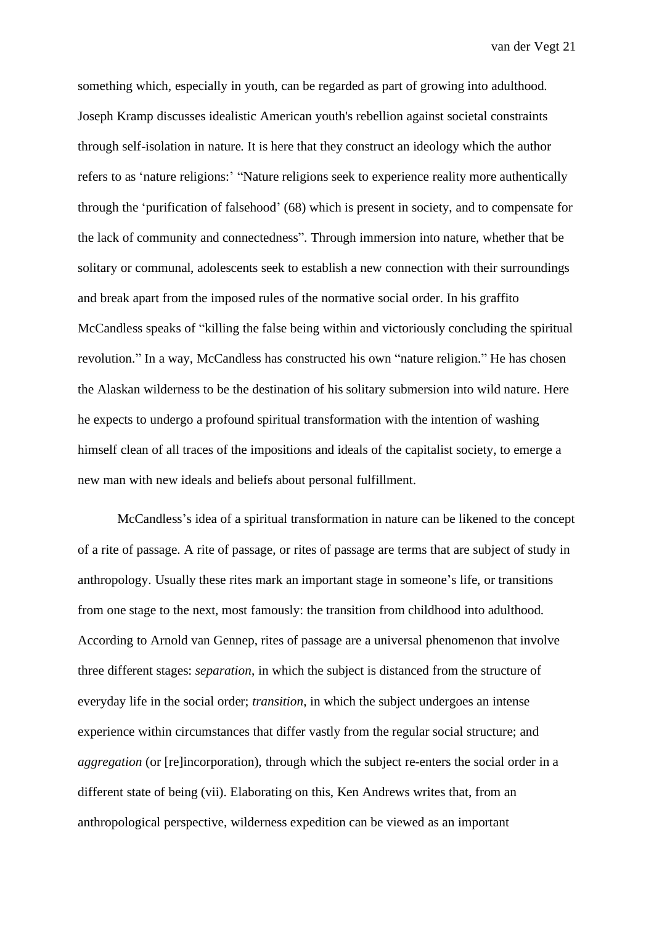something which, especially in youth, can be regarded as part of growing into adulthood. Joseph Kramp discusses idealistic American youth's rebellion against societal constraints through self-isolation in nature. It is here that they construct an ideology which the author refers to as 'nature religions:' "Nature religions seek to experience reality more authentically through the 'purification of falsehood' (68) which is present in society, and to compensate for the lack of community and connectedness". Through immersion into nature, whether that be solitary or communal, adolescents seek to establish a new connection with their surroundings and break apart from the imposed rules of the normative social order. In his graffito McCandless speaks of "killing the false being within and victoriously concluding the spiritual revolution." In a way, McCandless has constructed his own "nature religion." He has chosen the Alaskan wilderness to be the destination of his solitary submersion into wild nature. Here he expects to undergo a profound spiritual transformation with the intention of washing himself clean of all traces of the impositions and ideals of the capitalist society, to emerge a new man with new ideals and beliefs about personal fulfillment.

McCandless's idea of a spiritual transformation in nature can be likened to the concept of a rite of passage. A rite of passage, or rites of passage are terms that are subject of study in anthropology. Usually these rites mark an important stage in someone's life, or transitions from one stage to the next, most famously: the transition from childhood into adulthood. According to Arnold van Gennep, rites of passage are a universal phenomenon that involve three different stages: *separation*, in which the subject is distanced from the structure of everyday life in the social order; *transition*, in which the subject undergoes an intense experience within circumstances that differ vastly from the regular social structure; and *aggregation* (or [re]incorporation), through which the subject re-enters the social order in a different state of being (vii). Elaborating on this, Ken Andrews writes that, from an anthropological perspective, wilderness expedition can be viewed as an important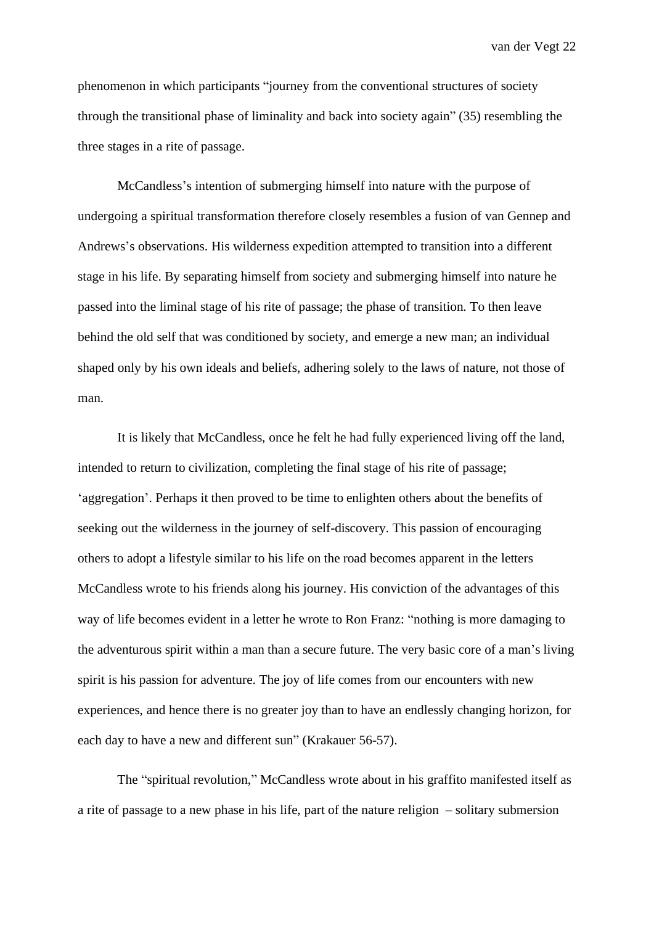phenomenon in which participants "journey from the conventional structures of society through the transitional phase of liminality and back into society again" (35) resembling the three stages in a rite of passage.

McCandless's intention of submerging himself into nature with the purpose of undergoing a spiritual transformation therefore closely resembles a fusion of van Gennep and Andrews's observations. His wilderness expedition attempted to transition into a different stage in his life. By separating himself from society and submerging himself into nature he passed into the liminal stage of his rite of passage; the phase of transition. To then leave behind the old self that was conditioned by society, and emerge a new man; an individual shaped only by his own ideals and beliefs, adhering solely to the laws of nature, not those of man.

It is likely that McCandless, once he felt he had fully experienced living off the land, intended to return to civilization, completing the final stage of his rite of passage; 'aggregation'. Perhaps it then proved to be time to enlighten others about the benefits of seeking out the wilderness in the journey of self-discovery. This passion of encouraging others to adopt a lifestyle similar to his life on the road becomes apparent in the letters McCandless wrote to his friends along his journey. His conviction of the advantages of this way of life becomes evident in a letter he wrote to Ron Franz: "nothing is more damaging to the adventurous spirit within a man than a secure future. The very basic core of a man's living spirit is his passion for adventure. The joy of life comes from our encounters with new experiences, and hence there is no greater joy than to have an endlessly changing horizon, for each day to have a new and different sun" (Krakauer 56-57).

The "spiritual revolution," McCandless wrote about in his graffito manifested itself as a rite of passage to a new phase in his life, part of the nature religion – solitary submersion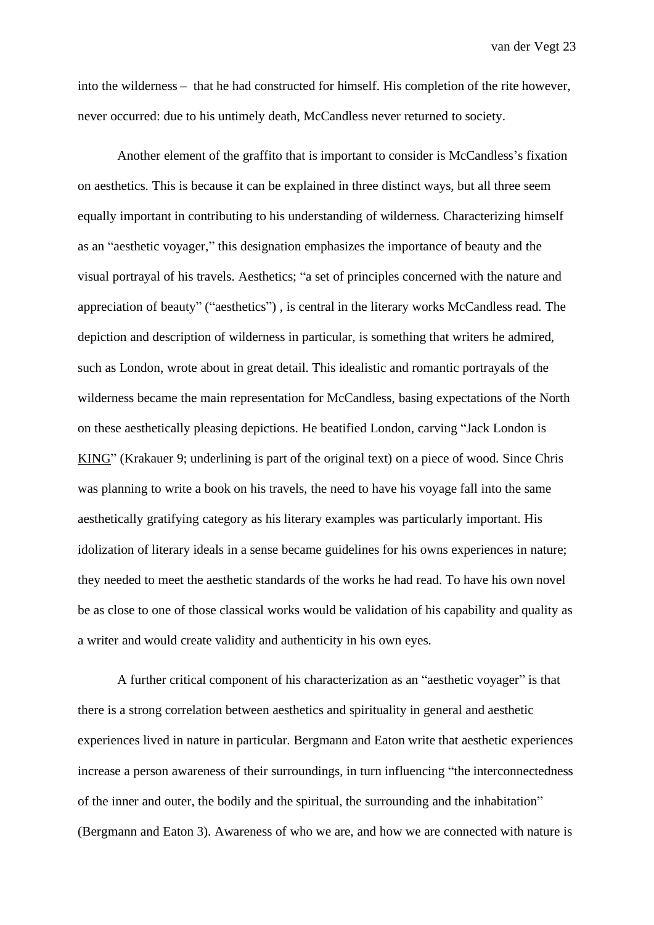into the wilderness – that he had constructed for himself. His completion of the rite however, never occurred: due to his untimely death, McCandless never returned to society.

Another element of the graffito that is important to consider is McCandless's fixation on aesthetics. This is because it can be explained in three distinct ways, but all three seem equally important in contributing to his understanding of wilderness. Characterizing himself as an "aesthetic voyager," this designation emphasizes the importance of beauty and the visual portrayal of his travels. Aesthetics; "a set of principles concerned with the nature and appreciation of beauty" ("aesthetics") , is central in the literary works McCandless read. The depiction and description of wilderness in particular, is something that writers he admired, such as London, wrote about in great detail. This idealistic and romantic portrayals of the wilderness became the main representation for McCandless, basing expectations of the North on these aesthetically pleasing depictions. He beatified London, carving "Jack London is KING" (Krakauer 9; underlining is part of the original text) on a piece of wood. Since Chris was planning to write a book on his travels, the need to have his voyage fall into the same aesthetically gratifying category as his literary examples was particularly important. His idolization of literary ideals in a sense became guidelines for his owns experiences in nature; they needed to meet the aesthetic standards of the works he had read. To have his own novel be as close to one of those classical works would be validation of his capability and quality as a writer and would create validity and authenticity in his own eyes.

A further critical component of his characterization as an "aesthetic voyager" is that there is a strong correlation between aesthetics and spirituality in general and aesthetic experiences lived in nature in particular. Bergmann and Eaton write that aesthetic experiences increase a person awareness of their surroundings, in turn influencing "the interconnectedness of the inner and outer, the bodily and the spiritual, the surrounding and the inhabitation" (Bergmann and Eaton 3). Awareness of who we are, and how we are connected with nature is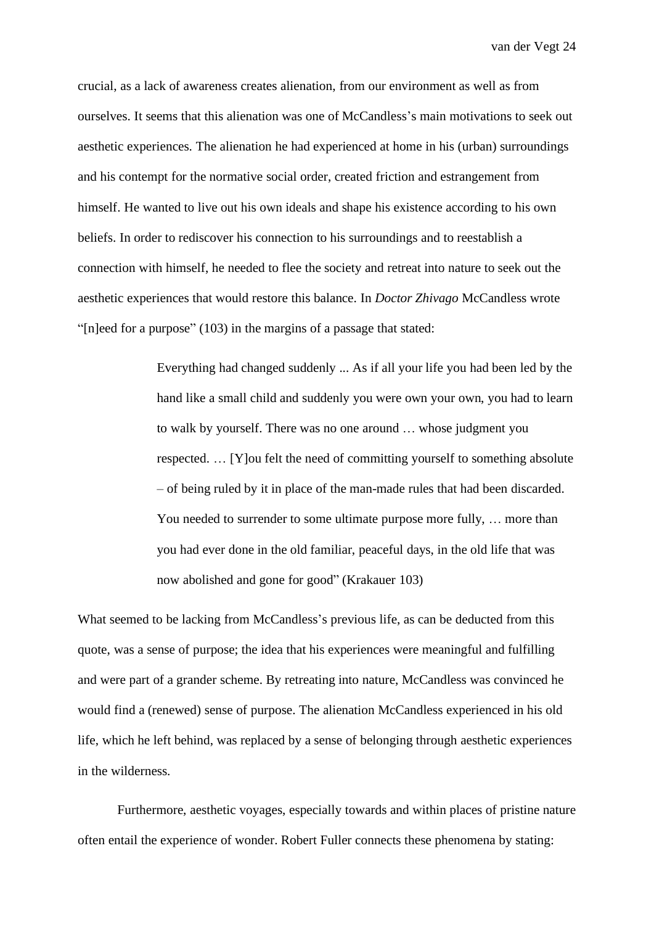crucial, as a lack of awareness creates alienation, from our environment as well as from ourselves. It seems that this alienation was one of McCandless's main motivations to seek out aesthetic experiences. The alienation he had experienced at home in his (urban) surroundings and his contempt for the normative social order, created friction and estrangement from himself. He wanted to live out his own ideals and shape his existence according to his own beliefs. In order to rediscover his connection to his surroundings and to reestablish a connection with himself, he needed to flee the society and retreat into nature to seek out the aesthetic experiences that would restore this balance. In *Doctor Zhivago* McCandless wrote "[n]eed for a purpose" (103) in the margins of a passage that stated:

> Everything had changed suddenly ... As if all your life you had been led by the hand like a small child and suddenly you were own your own, you had to learn to walk by yourself. There was no one around … whose judgment you respected. … [Y]ou felt the need of committing yourself to something absolute – of being ruled by it in place of the man-made rules that had been discarded. You needed to surrender to some ultimate purpose more fully, … more than you had ever done in the old familiar, peaceful days, in the old life that was now abolished and gone for good" (Krakauer 103)

What seemed to be lacking from McCandless's previous life, as can be deducted from this quote, was a sense of purpose; the idea that his experiences were meaningful and fulfilling and were part of a grander scheme. By retreating into nature, McCandless was convinced he would find a (renewed) sense of purpose. The alienation McCandless experienced in his old life, which he left behind, was replaced by a sense of belonging through aesthetic experiences in the wilderness.

Furthermore, aesthetic voyages, especially towards and within places of pristine nature often entail the experience of wonder. Robert Fuller connects these phenomena by stating: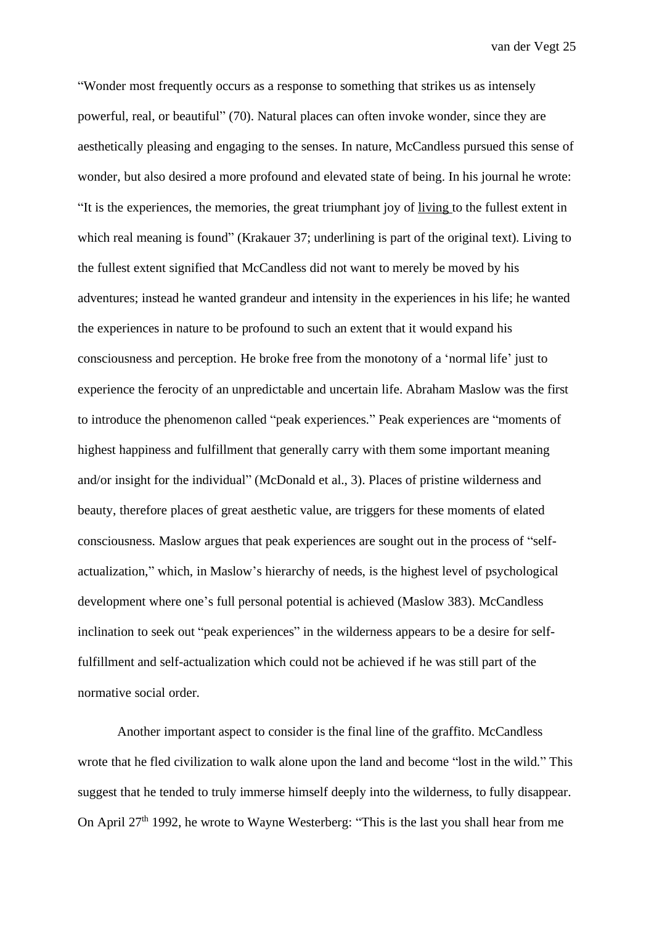"Wonder most frequently occurs as a response to something that strikes us as intensely powerful, real, or beautiful" (70). Natural places can often invoke wonder, since they are aesthetically pleasing and engaging to the senses. In nature, McCandless pursued this sense of wonder, but also desired a more profound and elevated state of being. In his journal he wrote: "It is the experiences, the memories, the great triumphant joy of living to the fullest extent in which real meaning is found" (Krakauer 37; underlining is part of the original text). Living to the fullest extent signified that McCandless did not want to merely be moved by his adventures; instead he wanted grandeur and intensity in the experiences in his life; he wanted the experiences in nature to be profound to such an extent that it would expand his consciousness and perception. He broke free from the monotony of a 'normal life' just to experience the ferocity of an unpredictable and uncertain life. Abraham Maslow was the first to introduce the phenomenon called "peak experiences." Peak experiences are "moments of highest happiness and fulfillment that generally carry with them some important meaning and/or insight for the individual" (McDonald et al., 3). Places of pristine wilderness and beauty, therefore places of great aesthetic value, are triggers for these moments of elated consciousness. Maslow argues that peak experiences are sought out in the process of "selfactualization," which, in Maslow's hierarchy of needs, is the highest level of psychological development where one's full personal potential is achieved (Maslow 383). McCandless inclination to seek out "peak experiences" in the wilderness appears to be a desire for selffulfillment and self-actualization which could not be achieved if he was still part of the normative social order.

Another important aspect to consider is the final line of the graffito. McCandless wrote that he fled civilization to walk alone upon the land and become "lost in the wild." This suggest that he tended to truly immerse himself deeply into the wilderness, to fully disappear. On April  $27<sup>th</sup>$  1992, he wrote to Wayne Westerberg: "This is the last you shall hear from me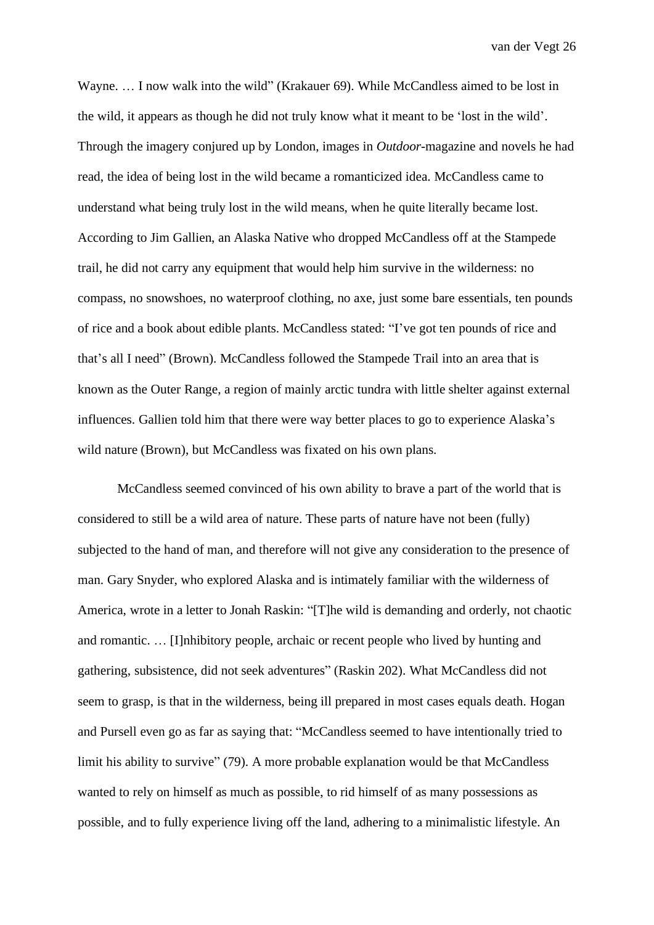Wayne. … I now walk into the wild" (Krakauer 69). While McCandless aimed to be lost in the wild, it appears as though he did not truly know what it meant to be 'lost in the wild'. Through the imagery conjured up by London, images in *Outdoor*-magazine and novels he had read, the idea of being lost in the wild became a romanticized idea. McCandless came to understand what being truly lost in the wild means, when he quite literally became lost. According to Jim Gallien, an Alaska Native who dropped McCandless off at the Stampede trail, he did not carry any equipment that would help him survive in the wilderness: no compass, no snowshoes, no waterproof clothing, no axe, just some bare essentials, ten pounds of rice and a book about edible plants. McCandless stated: "I've got ten pounds of rice and that's all I need" (Brown). McCandless followed the Stampede Trail into an area that is known as the Outer Range, a region of mainly arctic tundra with little shelter against external influences. Gallien told him that there were way better places to go to experience Alaska's wild nature (Brown), but McCandless was fixated on his own plans.

McCandless seemed convinced of his own ability to brave a part of the world that is considered to still be a wild area of nature. These parts of nature have not been (fully) subjected to the hand of man, and therefore will not give any consideration to the presence of man. Gary Snyder, who explored Alaska and is intimately familiar with the wilderness of America, wrote in a letter to Jonah Raskin: "[T]he wild is demanding and orderly, not chaotic and romantic. … [I]nhibitory people, archaic or recent people who lived by hunting and gathering, subsistence, did not seek adventures" (Raskin 202). What McCandless did not seem to grasp, is that in the wilderness, being ill prepared in most cases equals death. Hogan and Pursell even go as far as saying that: "McCandless seemed to have intentionally tried to limit his ability to survive" (79). A more probable explanation would be that McCandless wanted to rely on himself as much as possible, to rid himself of as many possessions as possible, and to fully experience living off the land, adhering to a minimalistic lifestyle. An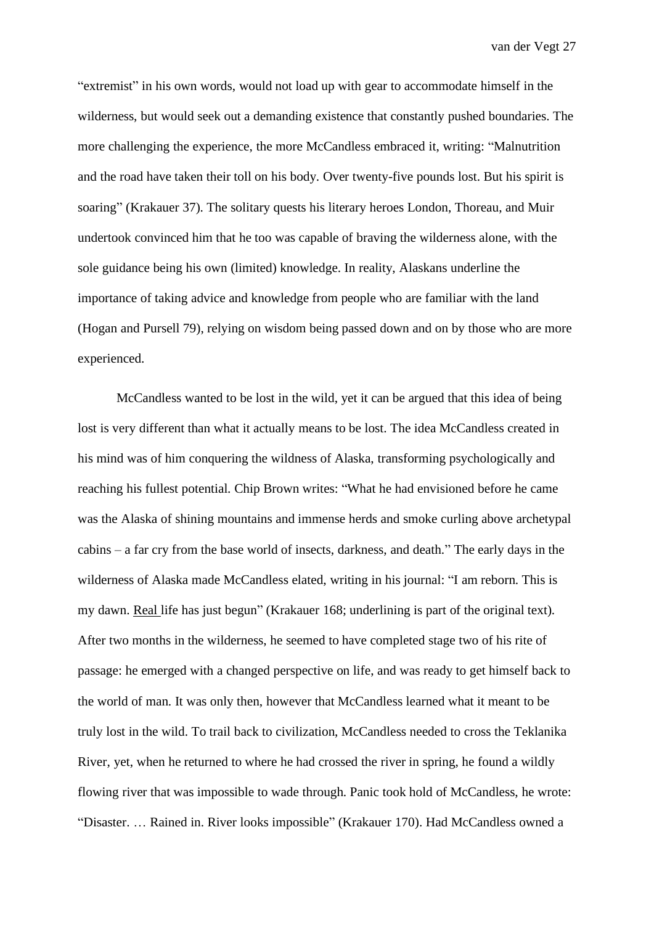"extremist" in his own words, would not load up with gear to accommodate himself in the wilderness, but would seek out a demanding existence that constantly pushed boundaries. The more challenging the experience, the more McCandless embraced it, writing: "Malnutrition and the road have taken their toll on his body. Over twenty-five pounds lost. But his spirit is soaring" (Krakauer 37). The solitary quests his literary heroes London, Thoreau, and Muir undertook convinced him that he too was capable of braving the wilderness alone, with the sole guidance being his own (limited) knowledge. In reality, Alaskans underline the importance of taking advice and knowledge from people who are familiar with the land (Hogan and Pursell 79), relying on wisdom being passed down and on by those who are more experienced.

McCandless wanted to be lost in the wild, yet it can be argued that this idea of being lost is very different than what it actually means to be lost. The idea McCandless created in his mind was of him conquering the wildness of Alaska, transforming psychologically and reaching his fullest potential. Chip Brown writes: "What he had envisioned before he came was the Alaska of shining mountains and immense herds and smoke curling above archetypal cabins – a far cry from the base world of insects, darkness, and death." The early days in the wilderness of Alaska made McCandless elated, writing in his journal: "I am reborn. This is my dawn. Real life has just begun" (Krakauer 168; underlining is part of the original text). After two months in the wilderness, he seemed to have completed stage two of his rite of passage: he emerged with a changed perspective on life, and was ready to get himself back to the world of man. It was only then, however that McCandless learned what it meant to be truly lost in the wild. To trail back to civilization, McCandless needed to cross the Teklanika River, yet, when he returned to where he had crossed the river in spring, he found a wildly flowing river that was impossible to wade through. Panic took hold of McCandless, he wrote: "Disaster. … Rained in. River looks impossible" (Krakauer 170). Had McCandless owned a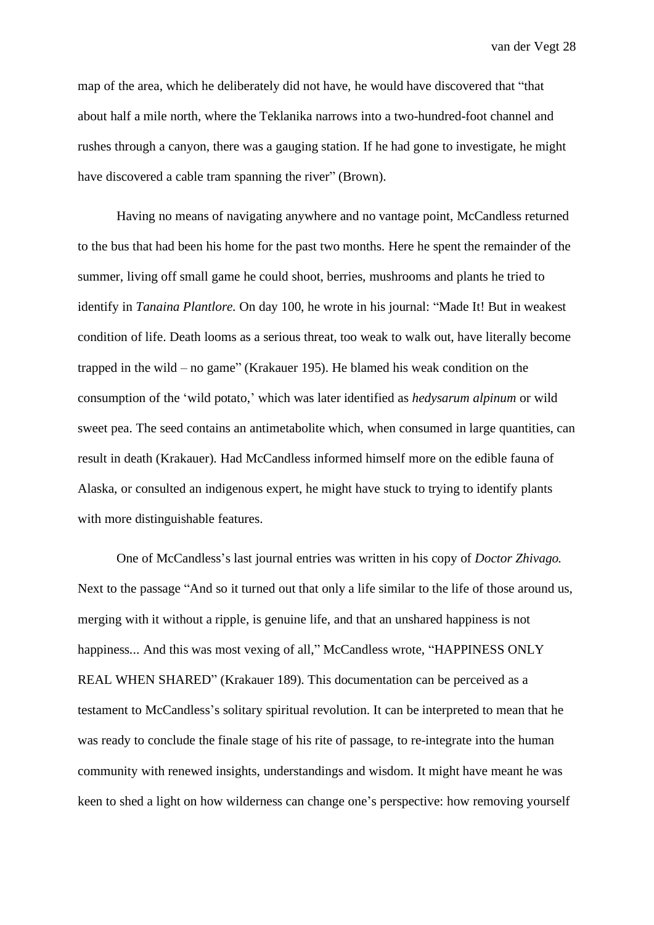map of the area, which he deliberately did not have, he would have discovered that "that about half a mile north, where the Teklanika narrows into a two-hundred-foot channel and rushes through a canyon, there was a gauging station. If he had gone to investigate, he might have discovered a cable tram spanning the river" (Brown).

Having no means of navigating anywhere and no vantage point, McCandless returned to the bus that had been his home for the past two months. Here he spent the remainder of the summer, living off small game he could shoot, berries, mushrooms and plants he tried to identify in *Tanaina Plantlore.* On day 100, he wrote in his journal: "Made It! But in weakest condition of life. Death looms as a serious threat, too weak to walk out, have literally become trapped in the wild – no game" (Krakauer 195). He blamed his weak condition on the consumption of the 'wild potato,' which was later identified as *hedysarum alpinum* or wild sweet pea. The seed contains an antimetabolite which, when consumed in large quantities, can result in death (Krakauer). Had McCandless informed himself more on the edible fauna of Alaska, or consulted an indigenous expert, he might have stuck to trying to identify plants with more distinguishable features.

One of McCandless's last journal entries was written in his copy of *Doctor Zhivago.* Next to the passage "And so it turned out that only a life similar to the life of those around us, merging with it without a ripple, is genuine life, and that an unshared happiness is not happiness... And this was most vexing of all," McCandless wrote, "HAPPINESS ONLY REAL WHEN SHARED" (Krakauer 189). This documentation can be perceived as a testament to McCandless's solitary spiritual revolution. It can be interpreted to mean that he was ready to conclude the finale stage of his rite of passage, to re-integrate into the human community with renewed insights, understandings and wisdom. It might have meant he was keen to shed a light on how wilderness can change one's perspective: how removing yourself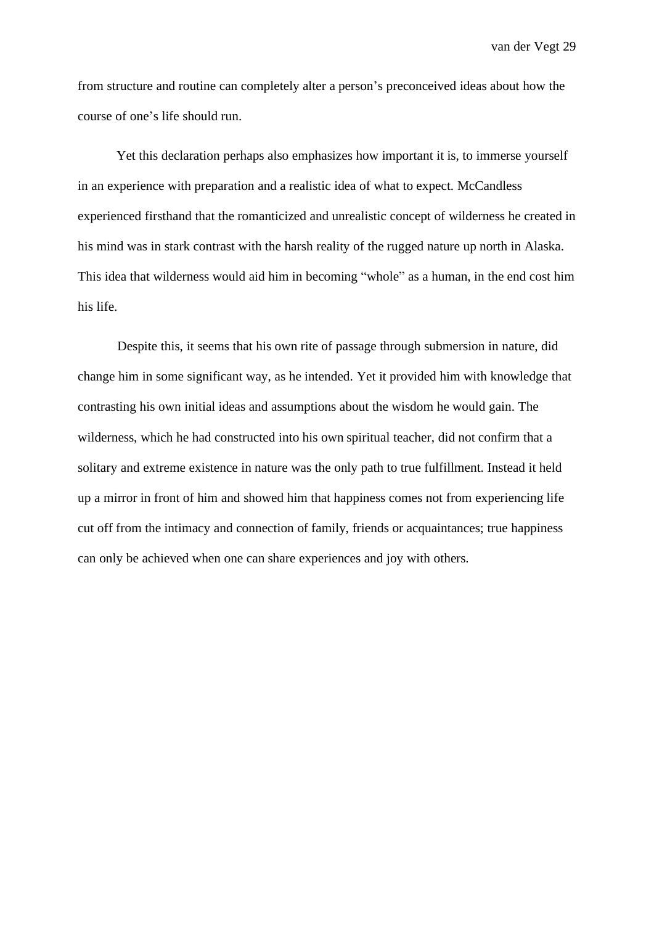from structure and routine can completely alter a person's preconceived ideas about how the course of one's life should run.

Yet this declaration perhaps also emphasizes how important it is, to immerse yourself in an experience with preparation and a realistic idea of what to expect. McCandless experienced firsthand that the romanticized and unrealistic concept of wilderness he created in his mind was in stark contrast with the harsh reality of the rugged nature up north in Alaska. This idea that wilderness would aid him in becoming "whole" as a human, in the end cost him his life.

Despite this, it seems that his own rite of passage through submersion in nature, did change him in some significant way, as he intended. Yet it provided him with knowledge that contrasting his own initial ideas and assumptions about the wisdom he would gain. The wilderness, which he had constructed into his own spiritual teacher, did not confirm that a solitary and extreme existence in nature was the only path to true fulfillment. Instead it held up a mirror in front of him and showed him that happiness comes not from experiencing life cut off from the intimacy and connection of family, friends or acquaintances; true happiness can only be achieved when one can share experiences and joy with others.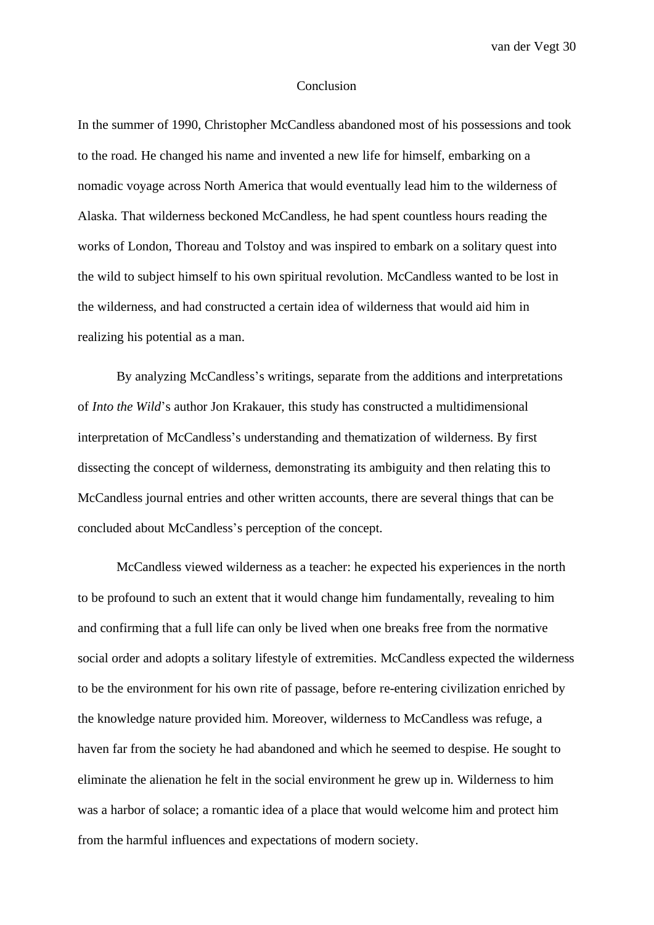#### Conclusion

In the summer of 1990, Christopher McCandless abandoned most of his possessions and took to the road. He changed his name and invented a new life for himself, embarking on a nomadic voyage across North America that would eventually lead him to the wilderness of Alaska. That wilderness beckoned McCandless, he had spent countless hours reading the works of London, Thoreau and Tolstoy and was inspired to embark on a solitary quest into the wild to subject himself to his own spiritual revolution. McCandless wanted to be lost in the wilderness, and had constructed a certain idea of wilderness that would aid him in realizing his potential as a man.

By analyzing McCandless's writings, separate from the additions and interpretations of *Into the Wild*'s author Jon Krakauer, this study has constructed a multidimensional interpretation of McCandless's understanding and thematization of wilderness. By first dissecting the concept of wilderness, demonstrating its ambiguity and then relating this to McCandless journal entries and other written accounts, there are several things that can be concluded about McCandless's perception of the concept.

McCandless viewed wilderness as a teacher: he expected his experiences in the north to be profound to such an extent that it would change him fundamentally, revealing to him and confirming that a full life can only be lived when one breaks free from the normative social order and adopts a solitary lifestyle of extremities. McCandless expected the wilderness to be the environment for his own rite of passage, before re-entering civilization enriched by the knowledge nature provided him. Moreover, wilderness to McCandless was refuge, a haven far from the society he had abandoned and which he seemed to despise. He sought to eliminate the alienation he felt in the social environment he grew up in. Wilderness to him was a harbor of solace; a romantic idea of a place that would welcome him and protect him from the harmful influences and expectations of modern society.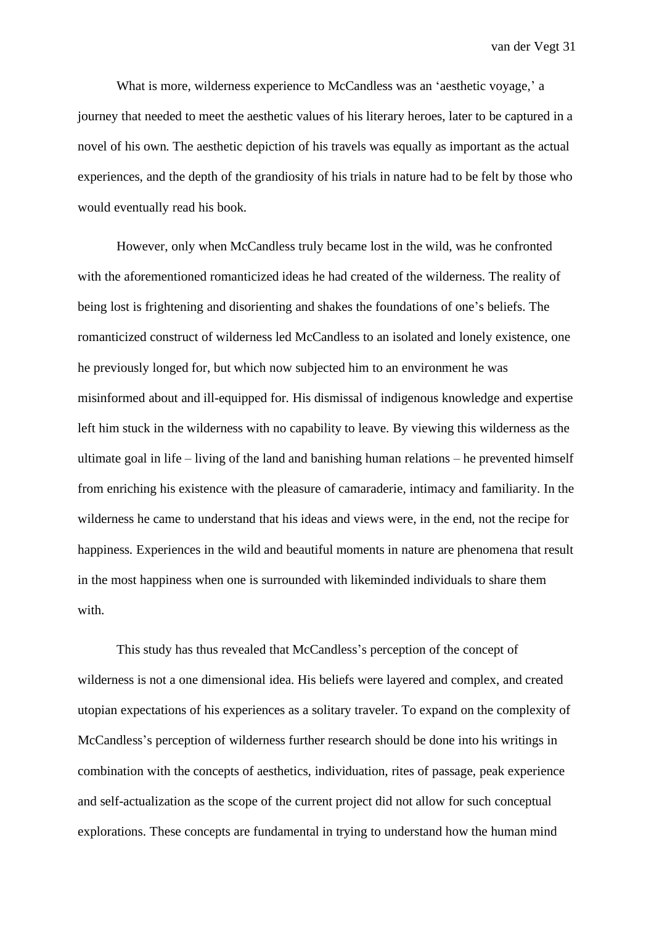What is more, wilderness experience to McCandless was an 'aesthetic voyage,' a journey that needed to meet the aesthetic values of his literary heroes, later to be captured in a novel of his own. The aesthetic depiction of his travels was equally as important as the actual experiences, and the depth of the grandiosity of his trials in nature had to be felt by those who would eventually read his book.

However, only when McCandless truly became lost in the wild, was he confronted with the aforementioned romanticized ideas he had created of the wilderness. The reality of being lost is frightening and disorienting and shakes the foundations of one's beliefs. The romanticized construct of wilderness led McCandless to an isolated and lonely existence, one he previously longed for, but which now subjected him to an environment he was misinformed about and ill-equipped for. His dismissal of indigenous knowledge and expertise left him stuck in the wilderness with no capability to leave. By viewing this wilderness as the ultimate goal in life – living of the land and banishing human relations – he prevented himself from enriching his existence with the pleasure of camaraderie, intimacy and familiarity. In the wilderness he came to understand that his ideas and views were, in the end, not the recipe for happiness. Experiences in the wild and beautiful moments in nature are phenomena that result in the most happiness when one is surrounded with likeminded individuals to share them with.

This study has thus revealed that McCandless's perception of the concept of wilderness is not a one dimensional idea. His beliefs were layered and complex, and created utopian expectations of his experiences as a solitary traveler. To expand on the complexity of McCandless's perception of wilderness further research should be done into his writings in combination with the concepts of aesthetics, individuation, rites of passage, peak experience and self-actualization as the scope of the current project did not allow for such conceptual explorations. These concepts are fundamental in trying to understand how the human mind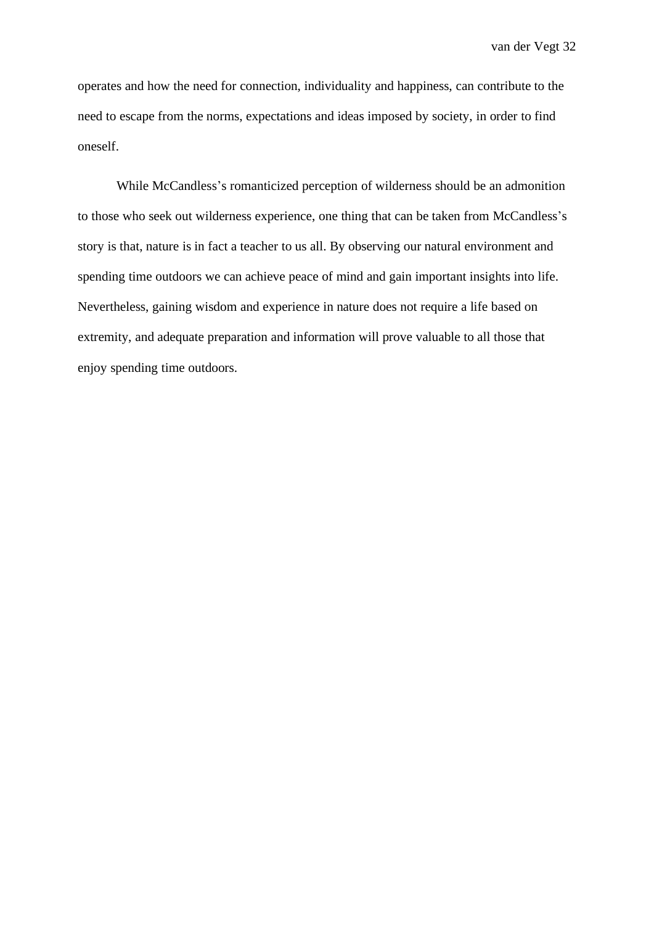operates and how the need for connection, individuality and happiness, can contribute to the need to escape from the norms, expectations and ideas imposed by society, in order to find oneself.

While McCandless's romanticized perception of wilderness should be an admonition to those who seek out wilderness experience, one thing that can be taken from McCandless's story is that, nature is in fact a teacher to us all. By observing our natural environment and spending time outdoors we can achieve peace of mind and gain important insights into life. Nevertheless, gaining wisdom and experience in nature does not require a life based on extremity, and adequate preparation and information will prove valuable to all those that enjoy spending time outdoors.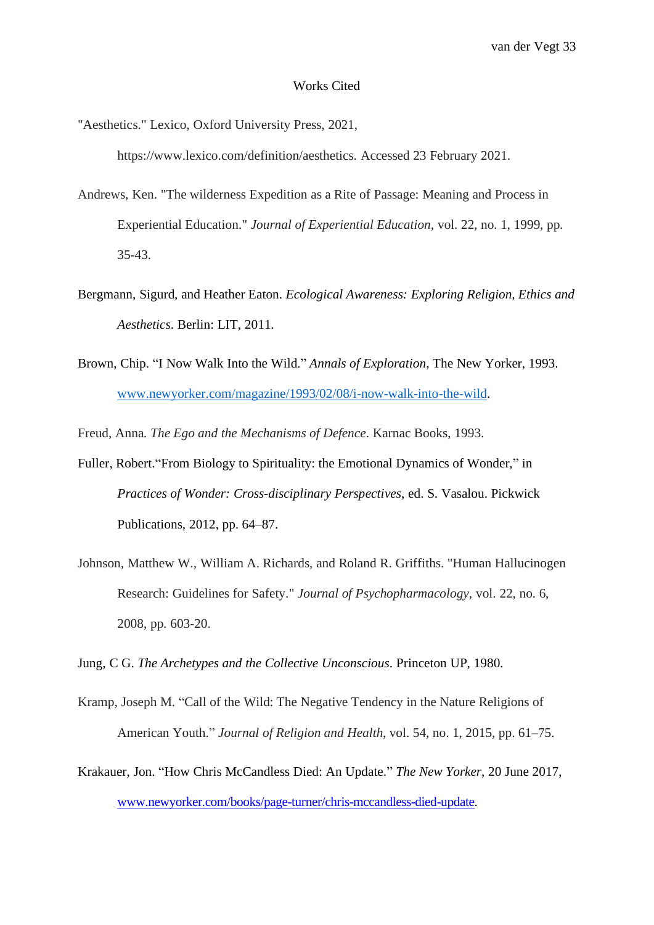#### Works Cited

"Aesthetics." Lexico, Oxford University Press, 2021,

https://www.lexico.com/definition/aesthetics. Accessed 23 February 2021.

- Andrews, Ken. "The wilderness Expedition as a Rite of Passage: Meaning and Process in Experiential Education." *Journal of Experiential Education,* vol. 22, no. 1, 1999, pp. 35-43.
- Bergmann, Sigurd, and Heather Eaton. *Ecological Awareness: Exploring Religion, Ethics and Aesthetics*. Berlin: LIT, 2011.
- Brown, Chip. "I Now Walk Into the Wild." *Annals of Exploration*, The New Yorker, 1993. [www.newyorker.com/magazine/1993/02/08/i-now-walk-into-the-wild.](http://www.newyorker.com/magazine/1993/02/08/i-now-walk-into-the-wild)

Freud, Anna. *The Ego and the Mechanisms of Defence*. Karnac Books, 1993.

- Fuller, Robert."From Biology to Spirituality: the Emotional Dynamics of Wonder," in *Practices of Wonder: Cross-disciplinary Perspectives*, ed. S. Vasalou. Pickwick Publications, 2012, pp. 64–87.
- Johnson, Matthew W., William A. Richards, and Roland R. Griffiths. "Human Hallucinogen Research: Guidelines for Safety." *Journal of Psychopharmacology,* vol. 22, no. 6, 2008, pp. 603-20.

Jung, C G. *The Archetypes and the Collective Unconscious*. Princeton UP, 1980.

- Kramp, Joseph M. "Call of the Wild: The Negative Tendency in the Nature Religions of American Youth." *Journal of Religion and Health*, vol. 54, no. 1, 2015, pp. 61–75.
- Krakauer, Jon. "How Chris McCandless Died: An Update." *The New Yorker*, 20 June 2017, [www.newyorker.com/books/page-turner/chris-mccandless-died-update.](http://www.newyorker.com/books/page-turner/chris-mccandless-died-update)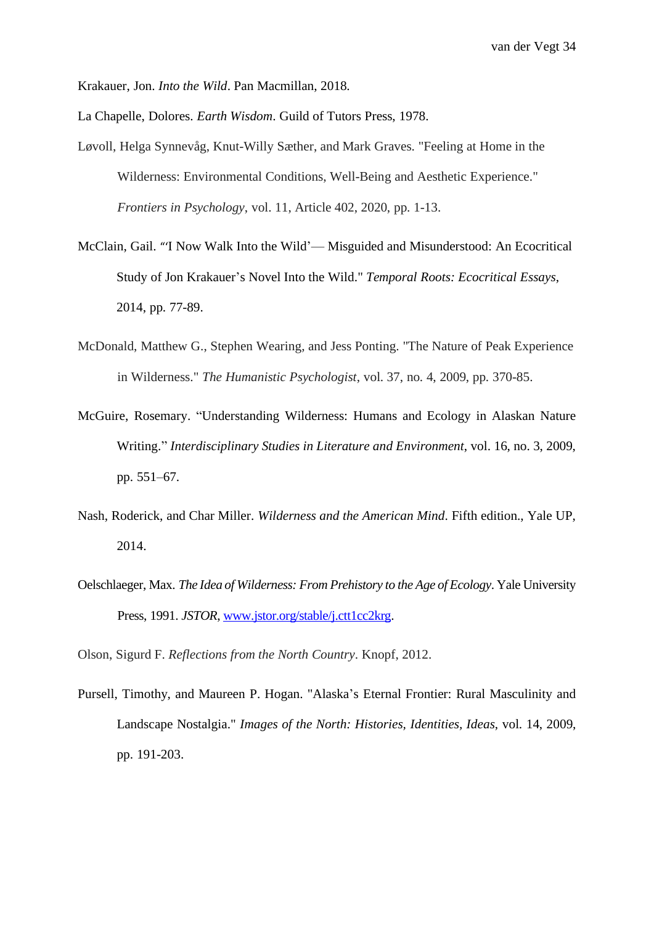Krakauer, Jon. *Into the Wild*. Pan Macmillan, 2018.

La Chapelle, Dolores. *Earth Wisdom*. Guild of Tutors Press, 1978.

- Løvoll, Helga Synnevåg, Knut-Willy Sæther, and Mark Graves. "Feeling at Home in the Wilderness: Environmental Conditions, Well-Being and Aesthetic Experience." *Frontiers in Psychology*, vol. 11, Article 402, 2020, pp. 1-13.
- McClain, Gail. "'I Now Walk Into the Wild'— Misguided and Misunderstood: An Ecocritical Study of Jon Krakauer's Novel Into the Wild." *Temporal Roots: Ecocritical Essays*, 2014, pp. 77-89.
- McDonald, Matthew G., Stephen Wearing, and Jess Ponting. "The Nature of Peak Experience in Wilderness." *The Humanistic Psychologist*, vol. 37, no. 4, 2009, pp. 370-85.
- McGuire, Rosemary. "Understanding Wilderness: Humans and Ecology in Alaskan Nature Writing." *Interdisciplinary Studies in Literature and Environment*, vol. 16, no. 3, 2009, pp. 551–67.
- Nash, Roderick, and Char Miller. *Wilderness and the American Mind*. Fifth edition., Yale UP, 2014.
- Oelschlaeger, Max. *The Idea of Wilderness: From Prehistory to the Age of Ecology*. Yale University Press, 1991. *JSTOR*, [www.jstor.org/stable/j.ctt1cc2krg.](http://www.jstor.org/stable/j.ctt1cc2krg)

Olson, Sigurd F. *Reflections from the North Country*. Knopf, 2012.

Pursell, Timothy, and Maureen P. Hogan. "Alaska's Eternal Frontier: Rural Masculinity and Landscape Nostalgia." *Images of the North: Histories, Identities, Ideas*, vol. 14, 2009, pp. 191-203.